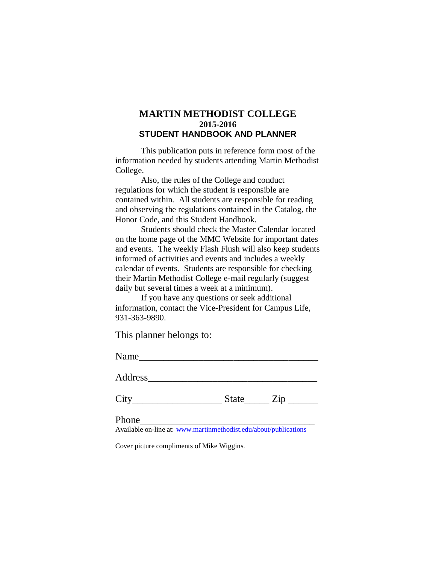# **MARTIN METHODIST COLLEGE 2015-2016 STUDENT HANDBOOK AND PLANNER**

This publication puts in reference form most of the information needed by students attending Martin Methodist College.

Also, the rules of the College and conduct regulations for which the student is responsible are contained within. All students are responsible for reading and observing the regulations contained in the Catalog, the Honor Code, and this Student Handbook.

Students should check the Master Calendar located on the home page of the MMC Website for important dates and events. The weekly Flash Flush will also keep students informed of activities and events and includes a weekly calendar of events. Students are responsible for checking their Martin Methodist College e-mail regularly (suggest daily but several times a week at a minimum).

If you have any questions or seek additional information, contact the Vice-President for Campus Life, 931-363-9890.

This planner belongs to:

Name\_\_\_\_\_\_\_\_\_\_\_\_\_\_\_\_\_\_\_\_\_\_\_\_\_\_\_\_\_\_\_\_\_\_\_\_

Address\_\_\_\_\_\_\_\_\_\_\_\_\_\_\_\_\_\_\_\_\_\_\_\_\_\_\_\_\_\_\_\_\_\_

 $City$   $City$   $State$   $Zip$   $\_$ 

Phone\_\_\_\_\_\_\_\_\_\_\_\_\_\_\_\_\_\_\_\_\_\_\_\_\_\_\_\_\_\_\_\_\_\_\_

Available on-line at: [www.martinmethodist.edu/about/publications](http://www.martinmethodist.edu/about/publications)

Cover picture compliments of Mike Wiggins.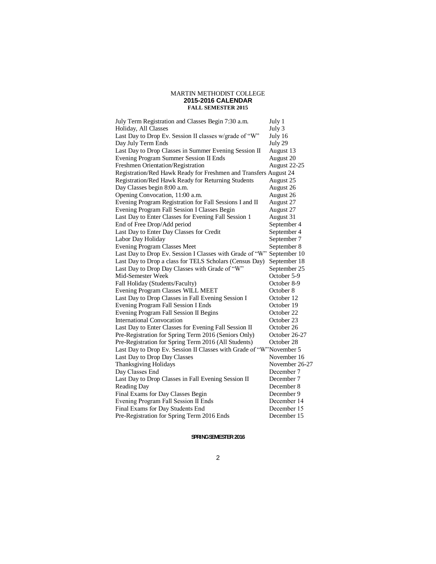#### MARTIN METHODIST COLLEGE **2015-2016 CALENDAR FALL SEMESTER 2015**

| July Term Registration and Classes Begin 7:30 a.m.                  | July 1         |
|---------------------------------------------------------------------|----------------|
| Holiday, All Classes                                                | July 3         |
| Last Day to Drop Ev. Session II classes w/grade of "W"              | July 16        |
| Day July Term Ends                                                  | July 29        |
| Last Day to Drop Classes in Summer Evening Session II               | August 13      |
| Evening Program Summer Session II Ends                              | August 20      |
| Freshmen Orientation/Registration                                   | August 22-25   |
| Registration/Red Hawk Ready for Freshmen and Transfers August 24    |                |
| Registration/Red Hawk Ready for Returning Students                  | August 25      |
| Day Classes begin 8:00 a.m.                                         | August 26      |
| Opening Convocation, 11:00 a.m.                                     | August 26      |
| Evening Program Registration for Fall Sessions I and II             | August 27      |
| Evening Program Fall Session I Classes Begin                        | August 27      |
| Last Day to Enter Classes for Evening Fall Session 1                | August 31      |
| End of Free Drop/Add period                                         | September 4    |
| Last Day to Enter Day Classes for Credit                            | September 4    |
| Labor Day Holiday                                                   | September 7    |
| <b>Evening Program Classes Meet</b>                                 | September 8    |
| Last Day to Drop Ev. Session I Classes with Grade of "W"            | September 10   |
| Last Day to Drop a class for TELS Scholars (Census Day)             | September 18   |
| Last Day to Drop Day Classes with Grade of "W"                      | September 25   |
| Mid-Semester Week                                                   | October 5-9    |
| Fall Holiday (Students/Faculty)                                     | October 8-9    |
| Evening Program Classes WILL MEET                                   | October 8      |
| Last Day to Drop Classes in Fall Evening Session I                  | October 12     |
| Evening Program Fall Session I Ends                                 | October 19     |
| Evening Program Fall Session II Begins                              | October 22     |
| International Convocation                                           | October 23     |
| Last Day to Enter Classes for Evening Fall Session II               | October 26     |
| Pre-Registration for Spring Term 2016 (Seniors Only)                | October 26-27  |
| Pre-Registration for Spring Term 2016 (All Students)                | October 28     |
| Last Day to Drop Ev. Session II Classes with Grade of "W"November 5 |                |
| Last Day to Drop Day Classes                                        | November 16    |
| <b>Thanksgiving Holidays</b>                                        | November 26-27 |
| Day Classes End                                                     | December 7     |
| Last Day to Drop Classes in Fall Evening Session II                 | December 7     |
| Reading Day                                                         | December 8     |
| Final Exams for Day Classes Begin                                   | December 9     |
| Evening Program Fall Session II Ends                                | December 14    |
| Final Exams for Day Students End                                    | December 15    |
| Pre-Registration for Spring Term 2016 Ends                          | December 15    |
|                                                                     |                |

#### SPRING SEMESTER 2016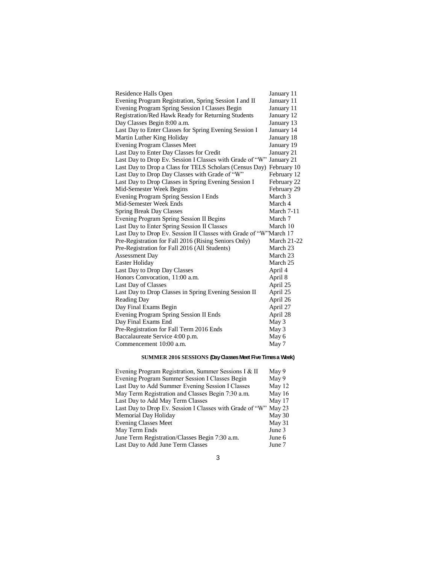| Residence Halls Open                                              | January 11         |
|-------------------------------------------------------------------|--------------------|
| Evening Program Registration, Spring Session I and II             | January 11         |
| Evening Program Spring Session I Classes Begin                    | January 11         |
| Registration/Red Hawk Ready for Returning Students                | January 12         |
| Day Classes Begin 8:00 a.m.                                       | January 13         |
| Last Day to Enter Classes for Spring Evening Session I            | January 14         |
| Martin Luther King Holiday                                        | January 18         |
| <b>Evening Program Classes Meet</b>                               | January 19         |
| Last Day to Enter Day Classes for Credit                          | January 21         |
| Last Day to Drop Ev. Session I Classes with Grade of "W"          | January 21         |
| Last Day to Drop a Class for TELS Scholars (Census Day)           | February 10        |
| Last Day to Drop Day Classes with Grade of "W"                    | February 12        |
| Last Day to Drop Classes in Spring Evening Session I              | February 22        |
| Mid-Semester Week Begins                                          | February 29        |
| Evening Program Spring Session I Ends                             | March 3            |
| Mid-Semester Week Ends                                            | March 4            |
| <b>Spring Break Day Classes</b>                                   | March 7-11         |
| Evening Program Spring Session II Begins                          | March 7            |
| Last Day to Enter Spring Session II Classes                       | March 10           |
| Last Day to Drop Ev. Session II Classes with Grade of "W"March 17 |                    |
| Pre-Registration for Fall 2016 (Rising Seniors Only)              | <b>March 21-22</b> |
| Pre-Registration for Fall 2016 (All Students)                     | March 23           |
| <b>Assessment Day</b>                                             | March 23           |
| Easter Holiday                                                    | March 25           |
| Last Day to Drop Day Classes                                      | April 4            |
| Honors Convocation, 11:00 a.m.                                    | April 8            |
| Last Day of Classes                                               | April 25           |
| Last Day to Drop Classes in Spring Evening Session II             | April 25           |
| Reading Day                                                       | April 26           |
| Day Final Exams Begin                                             | April 27           |
| Evening Program Spring Session II Ends                            | April 28           |
| Day Final Exams End                                               | May 3              |
| Pre-Registration for Fall Term 2016 Ends                          | May 3              |
| Baccalaureate Service 4:00 p.m.                                   | May 6              |
| Commencement 10:00 a.m.                                           | May 7              |

## **SUMMER 2016 SESSIONS (Day Classes Meet Five Times a Week)**

| Evening Program Registration, Summer Sessions I & II            | May 9  |
|-----------------------------------------------------------------|--------|
| Evening Program Summer Session I Classes Begin                  | May 9  |
| Last Day to Add Summer Evening Session I Classes                | May 12 |
| May Term Registration and Classes Begin 7:30 a.m.               | May 16 |
| Last Day to Add May Term Classes                                | May 17 |
| Last Day to Drop Ev. Session I Classes with Grade of "W" May 23 |        |
| Memorial Day Holiday                                            | May 30 |
| <b>Evening Classes Meet</b>                                     | May 31 |
| May Term Ends                                                   | June 3 |
| June Term Registration/Classes Begin 7:30 a.m.                  | June 6 |
| Last Day to Add June Term Classes                               | June 7 |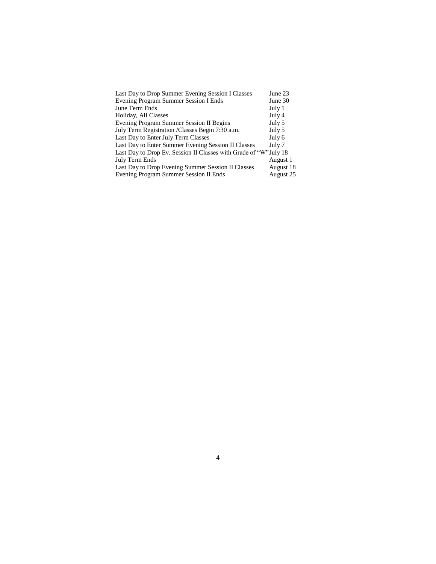| Last Day to Drop Summer Evening Session I Classes                 | June 23   |
|-------------------------------------------------------------------|-----------|
| Evening Program Summer Session I Ends                             | June 30   |
| June Term Ends                                                    | July 1    |
| Holiday, All Classes                                              | July 4    |
| Evening Program Summer Session II Begins                          | July 5    |
| July Term Registration / Classes Begin 7:30 a.m.                  | July 5    |
| Last Day to Enter July Term Classes                               | July 6    |
| Last Day to Enter Summer Evening Session II Classes               | July 7    |
| Last Day to Drop Ev. Session II Classes with Grade of "W" July 18 |           |
| July Term Ends                                                    | August 1  |
| Last Day to Drop Evening Summer Session II Classes                | August 18 |
| Evening Program Summer Session II Ends                            | August 25 |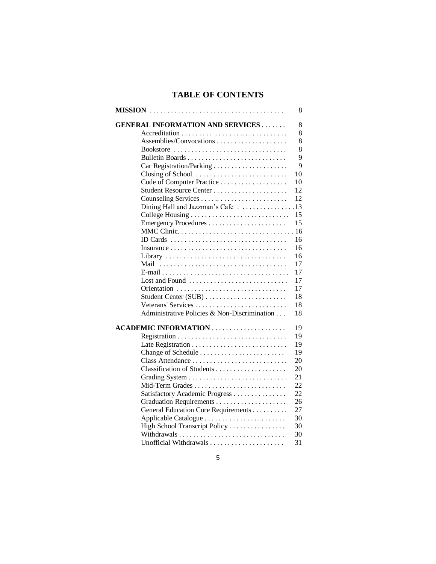# **TABLE OF CONTENTS**

|                                              | 8  |
|----------------------------------------------|----|
| <b>GENERAL INFORMATION AND SERVICES</b>      | 8  |
|                                              | 8  |
|                                              | 8  |
| Bookstore                                    | 8  |
|                                              | 9  |
|                                              | 9  |
| Closing of School                            | 10 |
|                                              | 10 |
| Student Resource Center                      | 12 |
|                                              | 12 |
| Dining Hall and Jazzman's Cafe 13            |    |
|                                              | 15 |
|                                              | 15 |
| MMC Clinic                                   | 16 |
| ID Cards                                     | 16 |
|                                              | 16 |
| Library                                      | 16 |
| Mail                                         | 17 |
|                                              | 17 |
| Lost and Found                               | 17 |
|                                              | 17 |
|                                              | 18 |
|                                              | 18 |
| Administrative Policies & Non-Discrimination | 18 |
|                                              | 19 |
|                                              | 19 |
|                                              | 19 |
|                                              | 19 |
| Class Attendance                             | 20 |
|                                              | 20 |
|                                              | 21 |
| Mid-Term Grades                              | 22 |
| Satisfactory Academic Progress               | 22 |
|                                              | 26 |
| General Education Core Requirements          | 27 |
|                                              | 30 |
| High School Transcript Policy                | 30 |
|                                              | 30 |
| Unofficial Withdrawals                       | 31 |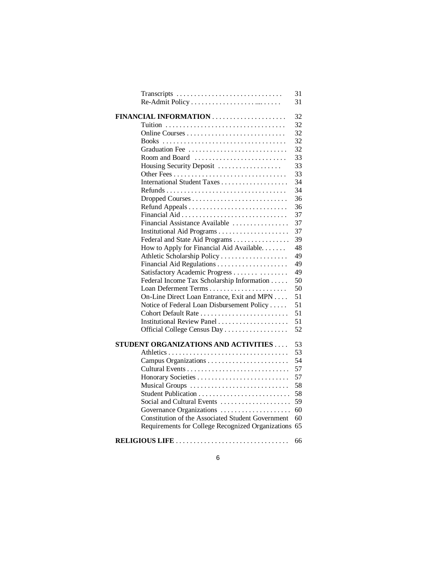| Transcripts                                          | 31<br>31 |
|------------------------------------------------------|----------|
|                                                      |          |
|                                                      | 32       |
|                                                      | 32       |
|                                                      | 32       |
|                                                      | 32       |
| Graduation Fee                                       | 32       |
| Room and Board                                       | 33       |
| Housing Security Deposit                             | 33       |
|                                                      | 33       |
|                                                      | 34       |
|                                                      | 34       |
|                                                      | 36       |
|                                                      | 36       |
|                                                      | 37       |
| Financial Assistance Available                       | 37       |
|                                                      | 37       |
| Federal and State Aid Programs                       | 39       |
| How to Apply for Financial Aid Available.            | 48       |
|                                                      | 49       |
|                                                      | 49       |
| Satisfactory Academic Progress                       | 49       |
| Federal Income Tax Scholarship Information           | 50       |
|                                                      | 50       |
| On-Line Direct Loan Entrance, Exit and MPN           | 51       |
| Notice of Federal Loan Disbursement Policy           | 51       |
| Cohort Default Rate                                  | 51       |
| Institutional Review Panel                           | 51       |
| Official College Census Day                          | 52       |
| STUDENT ORGANIZATIONS AND ACTIVITIES                 | 53       |
|                                                      | 53       |
|                                                      | 54       |
|                                                      | 57       |
|                                                      | 57       |
| Musical Groups                                       | 58       |
| Student Publication                                  | 58       |
| Social and Cultural Events                           | 59       |
| Governance Organizations                             | 60       |
| Constitution of the Associated Student Government    | 60       |
| Requirements for College Recognized Organizations 65 |          |
| RELIGIOUS LIFE                                       | 66       |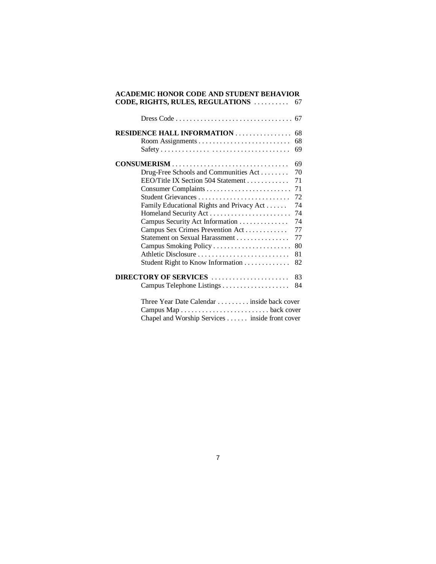| <b>ACADEMIC HONOR CODE AND STUDENT BEHAVIOR</b><br>CODE, RIGHTS, RULES, REGULATIONS           | 67 |
|-----------------------------------------------------------------------------------------------|----|
|                                                                                               |    |
| <b>RESIDENCE HALL INFORMATION</b>                                                             | 68 |
|                                                                                               | 68 |
|                                                                                               | 69 |
| CONSUMERISM                                                                                   | 69 |
| Drug-Free Schools and Communities Act                                                         | 70 |
| EEO/Title IX Section 504 Statement                                                            | 71 |
|                                                                                               | 71 |
| Student Grievances                                                                            | 72 |
| Family Educational Rights and Privacy Act                                                     | 74 |
|                                                                                               | 74 |
| Campus Security Act Information                                                               | 74 |
| Campus Sex Crimes Prevention Act                                                              | 77 |
| Statement on Sexual Harassment                                                                | 77 |
|                                                                                               | 80 |
| Athletic Disclosure                                                                           | 81 |
| Student Right to Know Information                                                             | 82 |
| DIRECTORY OF SERVICES                                                                         | 83 |
|                                                                                               | 84 |
| Three Year Date Calendar  inside back cover<br>Chapel and Worship Services inside front cover |    |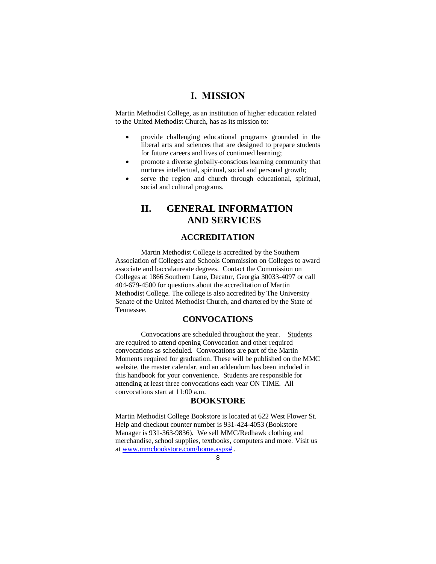# **I. MISSION**

Martin Methodist College, as an institution of higher education related to the United Methodist Church, has as its mission to:

- provide challenging educational programs grounded in the liberal arts and sciences that are designed to prepare students for future careers and lives of continued learning;
- promote a diverse globally-conscious learning community that nurtures intellectual, spiritual, social and personal growth;
- serve the region and church through educational, spiritual, social and cultural programs.

# **II. GENERAL INFORMATION AND SERVICES**

#### **ACCREDITATION**

Martin Methodist College is accredited by the Southern Association of Colleges and Schools Commission on Colleges to award associate and baccalaureate degrees. Contact the Commission on Colleges at 1866 Southern Lane, Decatur, Georgia 30033-4097 or call 404-679-4500 for questions about the accreditation of Martin Methodist College. The college is also accredited by The University Senate of the United Methodist Church, and chartered by the State of Tennessee.

## **CONVOCATIONS**

Convocations are scheduled throughout the year. Students are required to attend opening Convocation and other required convocations as scheduled. Convocations are part of the Martin Moments required for graduation. These will be published on the MMC website, the master calendar, and an addendum has been included in this handbook for your convenience. Students are responsible for attending at least three convocations each year ON TIME. All convocations start at 11:00 a.m.

#### **BOOKSTORE**

Martin Methodist College Bookstore is located at 622 West Flower St. Help and checkout counter number is 931-424-4053 (Bookstore Manager is 931-363-9836). We sell MMC/Redhawk clothing and merchandise, school supplies, textbooks, computers and more. Visit us a[t www.mmcbookstore.com/home.aspx#](http://www.mmcbookstore.com/home.aspx) .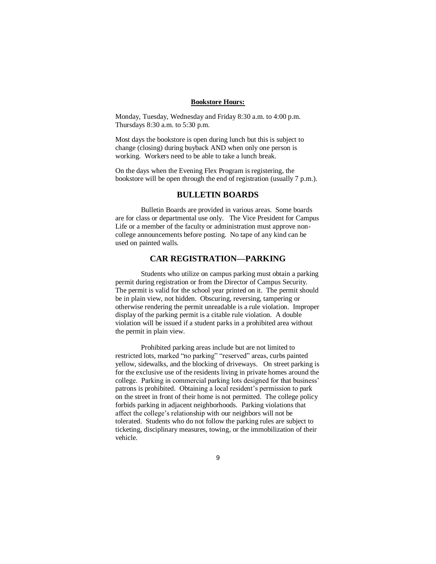#### **Bookstore Hours:**

Monday, Tuesday, Wednesday and Friday 8:30 a.m. to 4:00 p.m. Thursdays 8:30 a.m. to 5:30 p.m.

Most days the bookstore is open during lunch but this is subject to change (closing) during buyback AND when only one person is working. Workers need to be able to take a lunch break.

On the days when the Evening Flex Program is registering, the bookstore will be open through the end of registration (usually 7 p.m.).

#### **BULLETIN BOARDS**

Bulletin Boards are provided in various areas. Some boards are for class or departmental use only. The Vice President for Campus Life or a member of the faculty or administration must approve noncollege announcements before posting. No tape of any kind can be used on painted walls.

# **CAR REGISTRATION—PARKING**

Students who utilize on campus parking must obtain a parking permit during registration or from the Director of Campus Security. The permit is valid for the school year printed on it. The permit should be in plain view, not hidden. Obscuring, reversing, tampering or otherwise rendering the permit unreadable is a rule violation. Improper display of the parking permit is a citable rule violation. A double violation will be issued if a student parks in a prohibited area without the permit in plain view.

Prohibited parking areas include but are not limited to restricted lots, marked "no parking" "reserved" areas, curbs painted yellow, sidewalks, and the blocking of driveways. On street parking is for the exclusive use of the residents living in private homes around the college. Parking in commercial parking lots designed for that business' patrons is prohibited. Obtaining a local resident's permission to park on the street in front of their home is not permitted. The college policy forbids parking in adjacent neighborhoods. Parking violations that affect the college's relationship with our neighbors will not be tolerated. Students who do not follow the parking rules are subject to ticketing, disciplinary measures, towing, or the immobilization of their vehicle.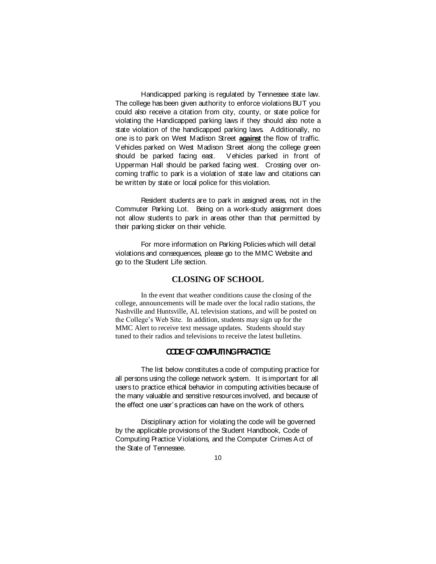Handicapped parking is regulated by Tennessee state law. The college has been given authority to enforce violations BUT you could also receive a citation from city, county, or state police for violating the Handicapped parking laws if they should also note a state violation of the handicapped parking laws. Additionally, no one is to park on West Madison Street **against** the flow of traffic. Vehicles parked on West Madison Street along the college green should be parked facing east. Vehicles parked in front of Upperman Hall should be parked facing west. Crossing over oncoming traffic to park is a violation of state law and citations can be written by state or local police for this violation.

Resident students are to park in assigned areas, not in the Commuter Parking Lot. Being on a work-study assignment does not allow students to park in areas other than that permitted by their parking sticker on their vehicle.

For more information on Parking Policies which will detail violations and consequences, please go to the MMC Website and go to the Student Life section.

## **CLOSING OF SCHOOL**

In the event that weather conditions cause the closing of the college, announcements will be made over the local radio stations, the Nashville and Huntsville, AL television stations, and will be posted on the College's Web Site. In addition, students may sign up for the MMC Alert to receive text message updates. Students should stay tuned to their radios and televisions to receive the latest bulletins.

# **CODE OF COMPUTING PRACTICE**

The list below constitutes a code of computing practice for all persons using the college network system. It is important for all users to practice ethical behavior in computing activities because of the many valuable and sensitive resources involved, and because of the effect one user's practices can have on the work of others.

Disciplinary action for violating the code will be governed by the applicable provisions of the Student Handbook, Code of Computing Practice Violations, and the Computer Crimes Act of the State of Tennessee.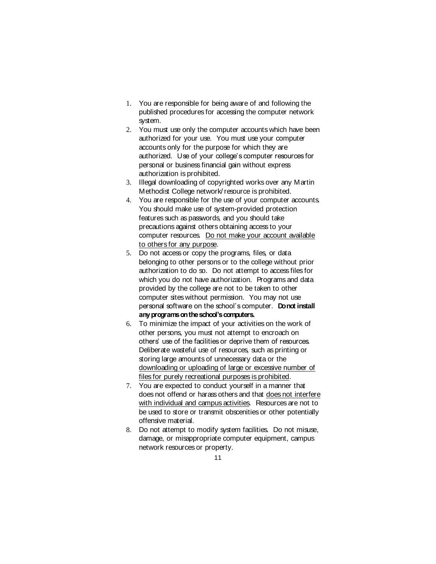- 1. You are responsible for being aware of and following the published procedures for accessing the computer network system.
- 2. You must use only the computer accounts which have been authorized for your use. You must use your computer accounts only for the purpose for which they are authorized. Use of your college's computer resources for personal or business financial gain without express authorization is prohibited.
- 3. Illegal downloading of copyrighted works over any Martin Methodist College network/ resource is prohibited.
- 4. You are responsible for the use of your computer accounts. You should make use of system-provided protection features such as passwords, and you should take precautions against others obtaining access to your computer resources. Do not make your account available to others for any purpose.
- 5. Do not access or copy the programs, files, or data belonging to other persons or to the college without prior authorization to do so. Do not attempt to access files for which you do not have authorization. Programs and data provided by the college are not to be taken to other computer sites without permission. You may not use personal software on the school's computer. **Do not install any programs on the school's computers.**
- 6. To minimize the impact of your activities on the work of other persons, you must not attempt to encroach on others' use of the facilities or deprive them of resources. Deliberate wasteful use of resources, such as printing or storing large amounts of unnecessary data or the downloading or uploading of large or excessive number of files for purely recreational purposes is prohibited.
- 7. You are expected to conduct yourself in a manner that does not offend or harass others and that does not interfere with individual and campus activities. Resources are not to be used to store or transmit obscenities or other potentially offensive material.
- 8. Do not attempt to modify system facilities. Do not misuse, damage, or misappropriate computer equipment, campus network resources or property.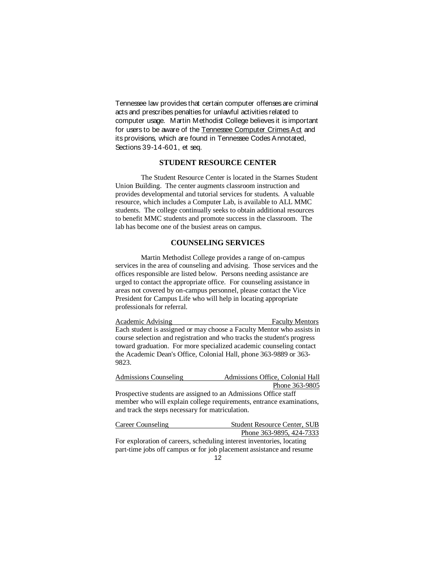Tennessee law provides that certain computer offenses are criminal acts and prescribes penalties for unlawful activities related to computer usage. Martin Methodist College believes it is important for users to be aware of the Tennessee Computer Crimes Act and its provisions, which are found in Tennessee Codes Annotated, Sections 39-14-601, et seq.

#### **STUDENT RESOURCE CENTER**

The Student Resource Center is located in the Starnes Student Union Building. The center augments classroom instruction and provides developmental and tutorial services for students. A valuable resource, which includes a Computer Lab, is available to ALL MMC students. The college continually seeks to obtain additional resources to benefit MMC students and promote success in the classroom. The lab has become one of the busiest areas on campus.

## **COUNSELING SERVICES**

Martin Methodist College provides a range of on-campus services in the area of counseling and advising. Those services and the offices responsible are listed below. Persons needing assistance are urged to contact the appropriate office. For counseling assistance in areas not covered by on-campus personnel, please contact the Vice President for Campus Life who will help in locating appropriate professionals for referral.

Academic Advising Faculty Mentors Each student is assigned or may choose a Faculty Mentor who assists in course selection and registration and who tracks the student's progress toward graduation. For more specialized academic counseling contact the Academic Dean's Office, Colonial Hall, phone 363-9889 or 363- 9823.

Admissions Counseling Admissions Office, Colonial Hall Phone 363-9805

Prospective students are assigned to an Admissions Office staff member who will explain college requirements, entrance examinations, and track the steps necessary for matriculation.

Career Counseling Student Resource Center, SUB Phone 363-9895, 424-7333 For exploration of careers, scheduling interest inventories, locating

12 part-time jobs off campus or for job placement assistance and resume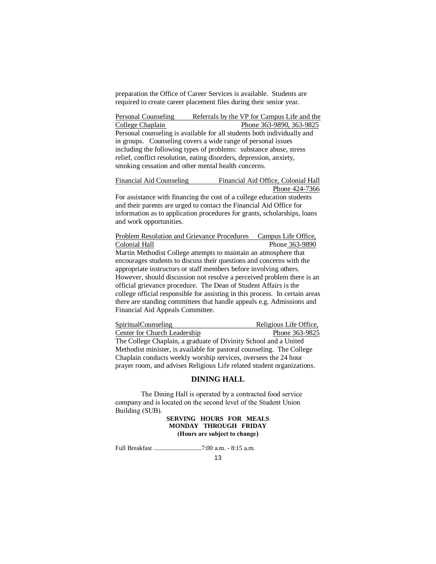preparation the Office of Career Services is available. Students are required to create career placement files during their senior year.

Personal Counseling Referrals by the VP for Campus Life and the College Chaplain Phone 363-9890, 363-9825 Personal counseling is available for all students both individually and in groups. Counseling covers a wide range of personal issues including the following types of problems: substance abuse, stress relief, conflict resolution, eating disorders, depression, anxiety, smoking cessation and other mental health concerns.

Financial Aid Counseling Financial Aid Office, Colonial Hall Phone 424-7366

For assistance with financing the cost of a college education students and their parents are urged to contact the Financial Aid Office for information as to application procedures for grants, scholarships, loans and work opportunities.

Problem Resolution and Grievance Procedures Campus Life Office, Colonial Hall Phone 363-9890 Martin Methodist College attempts to maintain an atmosphere that encourages students to discuss their questions and concerns with the appropriate instructors or staff members before involving others. However, should discussion not resolve a perceived problem there is an official grievance procedure. The Dean of Student Affairs is the college official responsible for assisting in this process. In certain areas there are standing committees that handle appeals e.g. Admissions and Financial Aid Appeals Committee.

SpiritualCounseling Religious Life Office, Center for Church Leadership Phone 363-9825 The College Chaplain, a graduate of Divinity School and a United Methodist minister, is available for pastoral counseling. The College Chaplain conducts weekly worship services, oversees the 24 hour prayer room, and advises Religious Life related student organizations.

#### **DINING HALL**

The Dining Hall is operated by a contracted food service company and is located on the second level of the Student Union Building (SUB).

> **SERVING HOURS FOR MEALS MONDAY THROUGH FRIDAY (Hours are subject to change)**

Full Breakfast ..............................7:00 a.m. - 8:15 a.m.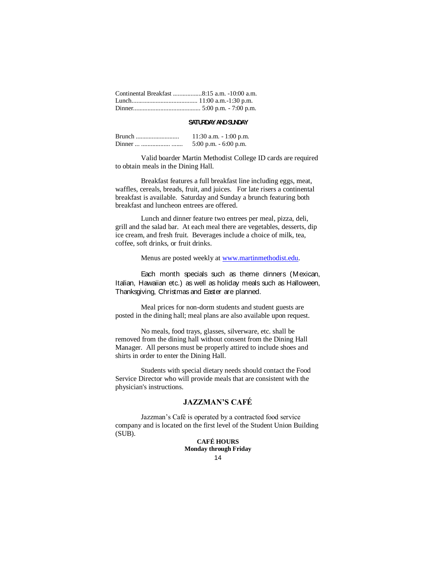#### **SATURDAY AND SUNDAY**

| 11:30 a.m. $-1:00$ p.m.  |
|--------------------------|
| $5:00$ p.m. $-6:00$ p.m. |

Valid boarder Martin Methodist College ID cards are required to obtain meals in the Dining Hall.

Breakfast features a full breakfast line including eggs, meat, waffles, cereals, breads, fruit, and juices. For late risers a continental breakfast is available. Saturday and Sunday a brunch featuring both breakfast and luncheon entrees are offered.

Lunch and dinner feature two entrees per meal, pizza, deli, grill and the salad bar. At each meal there are vegetables, desserts, dip ice cream, and fresh fruit. Beverages include a choice of milk, tea, coffee, soft drinks, or fruit drinks.

Menus are posted weekly at [www.martinmethodist.edu.](http://www.martinmethodist.edu/)

Each month specials such as theme dinners (Mexican, Italian, Hawaiian etc.) as well as holiday meals such as Halloween, Thanksgiving, Christmas and Easter are planned.

Meal prices for non-dorm students and student guests are posted in the dining hall; meal plans are also available upon request.

No meals, food trays, glasses, silverware, etc. shall be removed from the dining hall without consent from the Dining Hall Manager. All persons must be properly attired to include shoes and shirts in order to enter the Dining Hall.

Students with special dietary needs should contact the Food Service Director who will provide meals that are consistent with the physician's instructions.

## **JAZZMAN'S CAFÉ**

Jazzman's Café is operated by a contracted food service company and is located on the first level of the Student Union Building (SUB).

> 14 **CAFÉ HOURS Monday through Friday**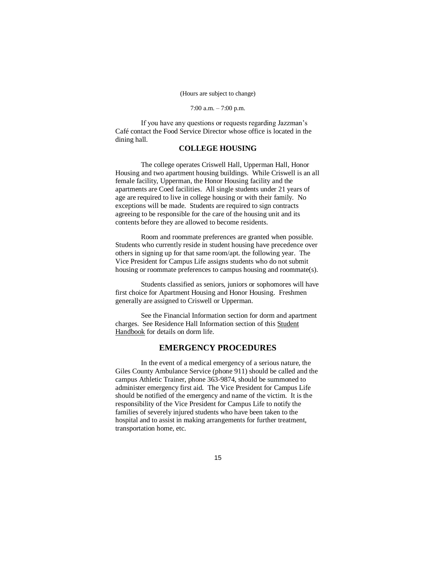#### (Hours are subject to change)

#### 7:00 a.m. – 7:00 p.m.

If you have any questions or requests regarding Jazzman's Café contact the Food Service Director whose office is located in the dining hall.

#### **COLLEGE HOUSING**

The college operates Criswell Hall, Upperman Hall, Honor Housing and two apartment housing buildings. While Criswell is an all female facility, Upperman, the Honor Housing facility and the apartments are Coed facilities. All single students under 21 years of age are required to live in college housing or with their family. No exceptions will be made. Students are required to sign contracts agreeing to be responsible for the care of the housing unit and its contents before they are allowed to become residents.

Room and roommate preferences are granted when possible. Students who currently reside in student housing have precedence over others in signing up for that same room/apt. the following year. The Vice President for Campus Life assigns students who do not submit housing or roommate preferences to campus housing and roommate(s).

Students classified as seniors, juniors or sophomores will have first choice for Apartment Housing and Honor Housing. Freshmen generally are assigned to Criswell or Upperman.

See the Financial Information section for dorm and apartment charges. See Residence Hall Information section of this Student Handbook for details on dorm life.

#### **EMERGENCY PROCEDURES**

In the event of a medical emergency of a serious nature, the Giles County Ambulance Service (phone 911) should be called and the campus Athletic Trainer, phone 363-9874, should be summoned to administer emergency first aid. The Vice President for Campus Life should be notified of the emergency and name of the victim. It is the responsibility of the Vice President for Campus Life to notify the families of severely injured students who have been taken to the hospital and to assist in making arrangements for further treatment, transportation home, etc.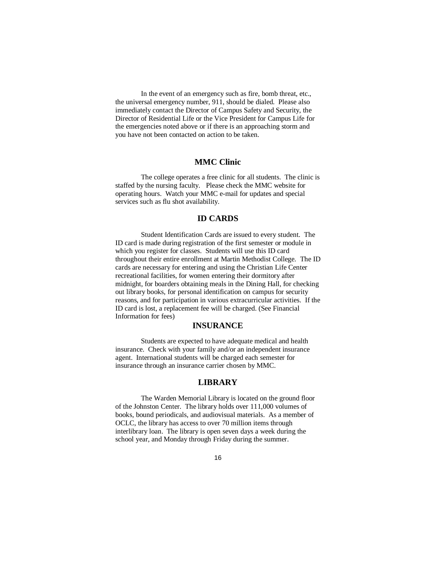In the event of an emergency such as fire, bomb threat, etc., the universal emergency number, 911, should be dialed. Please also immediately contact the Director of Campus Safety and Security, the Director of Residential Life or the Vice President for Campus Life for the emergencies noted above or if there is an approaching storm and you have not been contacted on action to be taken.

## **MMC Clinic**

The college operates a free clinic for all students. The clinic is staffed by the nursing faculty. Please check the MMC website for operating hours. Watch your MMC e-mail for updates and special services such as flu shot availability.

#### **ID CARDS**

Student Identification Cards are issued to every student. The ID card is made during registration of the first semester or module in which you register for classes. Students will use this ID card throughout their entire enrollment at Martin Methodist College. The ID cards are necessary for entering and using the Christian Life Center recreational facilities, for women entering their dormitory after midnight, for boarders obtaining meals in the Dining Hall, for checking out library books, for personal identification on campus for security reasons, and for participation in various extracurricular activities. If the ID card is lost, a replacement fee will be charged. (See Financial Information for fees)

### **INSURANCE**

Students are expected to have adequate medical and health insurance. Check with your family and/or an independent insurance agent. International students will be charged each semester for insurance through an insurance carrier chosen by MMC.

## **LIBRARY**

The Warden Memorial Library is located on the ground floor of the Johnston Center. The library holds over 111,000 volumes of books, bound periodicals, and audiovisual materials. As a member of OCLC, the library has access to over 70 million items through interlibrary loan. The library is open seven days a week during the school year, and Monday through Friday during the summer.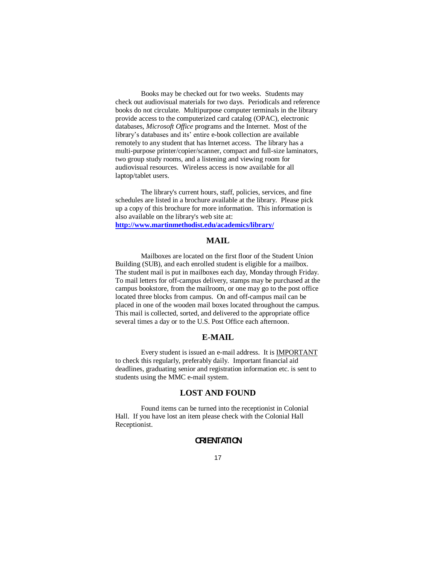Books may be checked out for two weeks. Students may check out audiovisual materials for two days. Periodicals and reference books do not circulate. Multipurpose computer terminals in the library provide access to the computerized card catalog (OPAC), electronic databases, *Microsoft Office* programs and the Internet. Most of the library's databases and its' entire e-book collection are available remotely to any student that has Internet access.The library has a multi-purpose printer/copier/scanner, compact and full-size laminators, two group study rooms, and a listening and viewing room for audiovisual resources. Wireless access is now available for all laptop/tablet users.

The library's current hours, staff, policies, services, and fine schedules are listed in a brochure available at the library. Please pick up a copy of this brochure for more information. This information is also available on the library's web site at: **http://www.martinmethodist.edu/academics/library/**

#### **MAIL**

Mailboxes are located on the first floor of the Student Union Building (SUB), and each enrolled student is eligible for a mailbox. The student mail is put in mailboxes each day, Monday through Friday. To mail letters for off-campus delivery, stamps may be purchased at the campus bookstore, from the mailroom, or one may go to the post office located three blocks from campus. On and off-campus mail can be placed in one of the wooden mail boxes located throughout the campus. This mail is collected, sorted, and delivered to the appropriate office several times a day or to the U.S. Post Office each afternoon.

#### **E-MAIL**

Every student is issued an e-mail address. It is IMPORTANT to check this regularly, preferably daily. Important financial aid deadlines, graduating senior and registration information etc. is sent to students using the MMC e-mail system.

## **LOST AND FOUND**

Found items can be turned into the receptionist in Colonial Hall. If you have lost an item please check with the Colonial Hall Receptionist.

# **ORIENTATION**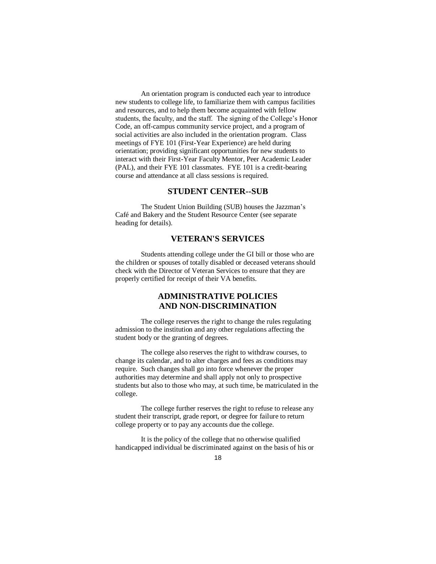An orientation program is conducted each year to introduce new students to college life, to familiarize them with campus facilities and resources, and to help them become acquainted with fellow students, the faculty, and the staff. The signing of the College's Honor Code, an off-campus community service project, and a program of social activities are also included in the orientation program. Class meetings of FYE 101 (First-Year Experience) are held during orientation; providing significant opportunities for new students to interact with their First-Year Faculty Mentor, Peer Academic Leader (PAL), and their FYE 101 classmates. FYE 101 is a credit-bearing course and attendance at all class sessions is required.

## **STUDENT CENTER--SUB**

The Student Union Building (SUB) houses the Jazzman's Café and Bakery and the Student Resource Center (see separate heading for details).

## **VETERAN'S SERVICES**

Students attending college under the GI bill or those who are the children or spouses of totally disabled or deceased veterans should check with the Director of Veteran Services to ensure that they are properly certified for receipt of their VA benefits.

# **ADMINISTRATIVE POLICIES AND NON-DISCRIMINATION**

The college reserves the right to change the rules regulating admission to the institution and any other regulations affecting the student body or the granting of degrees.

The college also reserves the right to withdraw courses, to change its calendar, and to alter charges and fees as conditions may require. Such changes shall go into force whenever the proper authorities may determine and shall apply not only to prospective students but also to those who may, at such time, be matriculated in the college.

The college further reserves the right to refuse to release any student their transcript, grade report, or degree for failure to return college property or to pay any accounts due the college.

It is the policy of the college that no otherwise qualified handicapped individual be discriminated against on the basis of his or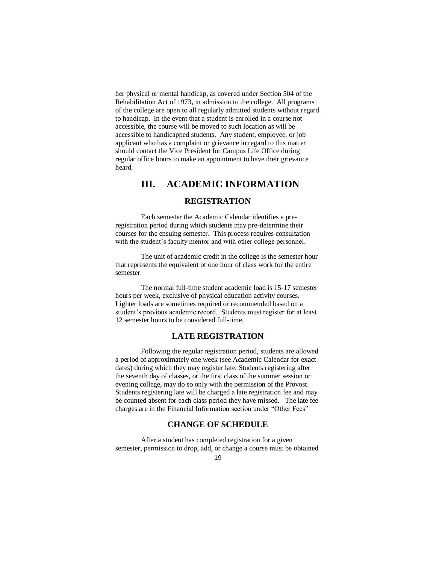her physical or mental handicap, as covered under Section 504 of the Rehabilitation Act of 1973, in admission to the college. All programs of the college are open to all regularly admitted students without regard to handicap. In the event that a student is enrolled in a course not accessible, the course will be moved to such location as will be accessible to handicapped students. Any student, employee, or job applicant who has a complaint or grievance in regard to this matter should contact the Vice President for Campus Life Office during regular office hours to make an appointment to have their grievance heard.

# **III. ACADEMIC INFORMATION**

## **REGISTRATION**

Each semester the Academic Calendar identifies a preregistration period during which students may pre-determine their courses for the ensuing semester. This process requires consultation with the student's faculty mentor and with other college personnel.

The unit of academic credit in the college is the semester hour that represents the equivalent of one hour of class work for the entire semester

The normal full-time student academic load is 15-17 semester hours per week, exclusive of physical education activity courses. Lighter loads are sometimes required or recommended based on a student's previous academic record. Students must register for at least 12 semester hours to be considered full-time.

## **LATE REGISTRATION**

Following the regular registration period, students are allowed a period of approximately one week (see Academic Calendar for exact dates) during which they may register late. Students registering after the seventh day of classes, or the first class of the summer session or evening college, may do so only with the permission of the Provost. Students registering late will be charged a late registration fee and may be counted absent for each class period they have missed. The late fee charges are in the Financial Information section under "Other Fees"

# **CHANGE OF SCHEDULE**

After a student has completed registration for a given semester, permission to drop, add, or change a course must be obtained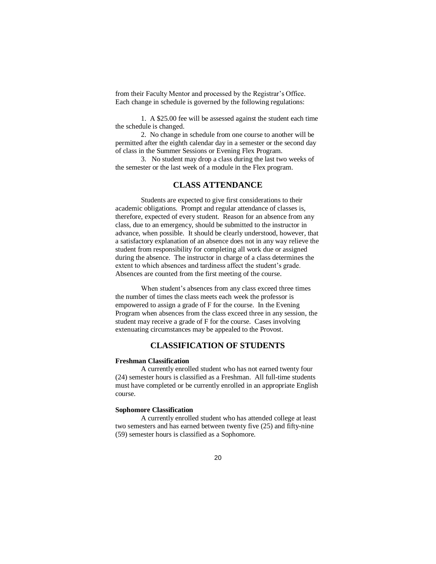from their Faculty Mentor and processed by the Registrar's Office. Each change in schedule is governed by the following regulations:

1. A \$25.00 fee will be assessed against the student each time the schedule is changed.

2. No change in schedule from one course to another will be permitted after the eighth calendar day in a semester or the second day of class in the Summer Sessions or Evening Flex Program.

3. No student may drop a class during the last two weeks of the semester or the last week of a module in the Flex program.

## **CLASS ATTENDANCE**

Students are expected to give first considerations to their academic obligations. Prompt and regular attendance of classes is, therefore, expected of every student. Reason for an absence from any class, due to an emergency, should be submitted to the instructor in advance, when possible. It should be clearly understood, however, that a satisfactory explanation of an absence does not in any way relieve the student from responsibility for completing all work due or assigned during the absence. The instructor in charge of a class determines the extent to which absences and tardiness affect the student's grade. Absences are counted from the first meeting of the course.

When student's absences from any class exceed three times the number of times the class meets each week the professor is empowered to assign a grade of F for the course. In the Evening Program when absences from the class exceed three in any session, the student may receive a grade of F for the course. Cases involving extenuating circumstances may be appealed to the Provost.

# **CLASSIFICATION OF STUDENTS**

#### **Freshman Classification**

A currently enrolled student who has not earned twenty four (24) semester hours is classified as a Freshman. All full-time students must have completed or be currently enrolled in an appropriate English course.

#### **Sophomore Classification**

A currently enrolled student who has attended college at least two semesters and has earned between twenty five (25) and fifty-nine (59) semester hours is classified as a Sophomore.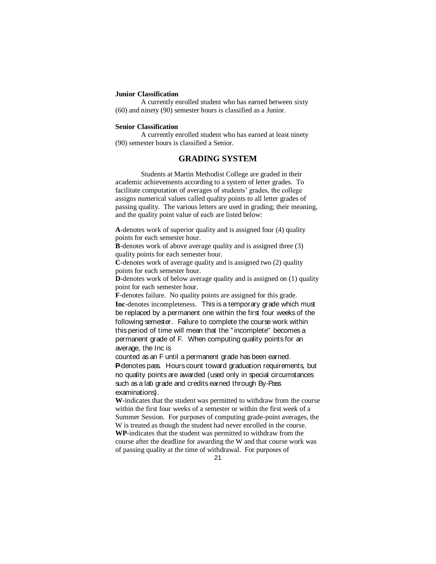#### **Junior Classification**

A currently enrolled student who has earned between sixty (60) and ninety (90) semester hours is classified as a Junior.

#### **Senior Classification**

A currently enrolled student who has earned at least ninety (90) semester hours is classified a Senior.

# **GRADING SYSTEM**

Students at Martin Methodist College are graded in their academic achievements according to a system of letter grades. To facilitate computation of averages of students' grades, the college assigns numerical values called quality points to all letter grades of passing quality. The various letters are used in grading; their meaning, and the quality point value of each are listed below:

**A**-denotes work of superior quality and is assigned four (4) quality points for each semester hour.

**B**-denotes work of above average quality and is assigned three (3) quality points for each semester hour.

**C**-denotes work of average quality and is assigned two (2) quality points for each semester hour.

**D**-denotes work of below average quality and is assigned on (1) quality point for each semester hour.

**F**-denotes failure. No quality points are assigned for this grade. **Inc**-denotes incompleteness. This is a temporary grade which must be replaced by a permanent one within the first four weeks of the following semester. Failure to complete the course work within this period of time will mean that the " incomplete" becomes a permanent grade of F. When computing quality points for an average, the Inc is

counted as an F until a permanent grade has been earned. **P**-denotes pass. Hours count toward graduation requirements, but no quality points are awarded (used only in special circumstances such as a lab grade and credits earned through By-Pass examinations).

**W**-indicates that the student was permitted to withdraw from the course within the first four weeks of a semester or within the first week of a Summer Session. For purposes of computing grade-point averages, the W is treated as though the student had never enrolled in the course. **WP**-indicates that the student was permitted to withdraw from the course after the deadline for awarding the W and that course work was of passing quality at the time of withdrawal. For purposes of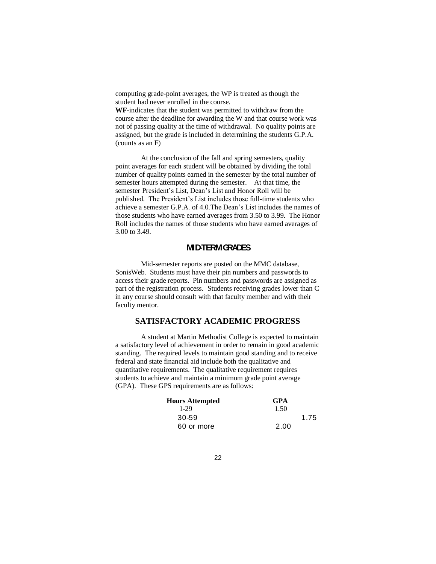computing grade-point averages, the WP is treated as though the student had never enrolled in the course.

**WF**-indicates that the student was permitted to withdraw from the course after the deadline for awarding the W and that course work was not of passing quality at the time of withdrawal. No quality points are assigned, but the grade is included in determining the students G.P.A. (counts as an F)

At the conclusion of the fall and spring semesters, quality point averages for each student will be obtained by dividing the total number of quality points earned in the semester by the total number of semester hours attempted during the semester. At that time, the semester President's List, Dean's List and Honor Roll will be published. The President's List includes those full-time students who achieve a semester G.P.A. of 4.0.The Dean's List includes the names of those students who have earned averages from 3.50 to 3.99. The Honor Roll includes the names of those students who have earned averages of 3.00 to 3.49.

# **MID-TERM GRADES**

Mid-semester reports are posted on the MMC database, SonisWeb. Students must have their pin numbers and passwords to access their grade reports. Pin numbers and passwords are assigned as part of the registration process. Students receiving grades lower than C in any course should consult with that faculty member and with their faculty mentor.

# **SATISFACTORY ACADEMIC PROGRESS**

A student at Martin Methodist College is expected to maintain a satisfactory level of achievement in order to remain in good academic standing. The required levels to maintain good standing and to receive federal and state financial aid include both the qualitative and quantitative requirements. The qualitative requirement requires students to achieve and maintain a minimum grade point average (GPA). These GPS requirements are as follows:

| <b>Hours Attempted</b> | <b>GPA</b> |      |
|------------------------|------------|------|
| 1-29                   | 1.50       |      |
| 30-59                  |            | 1.75 |
| 60 or more             | 2.00       |      |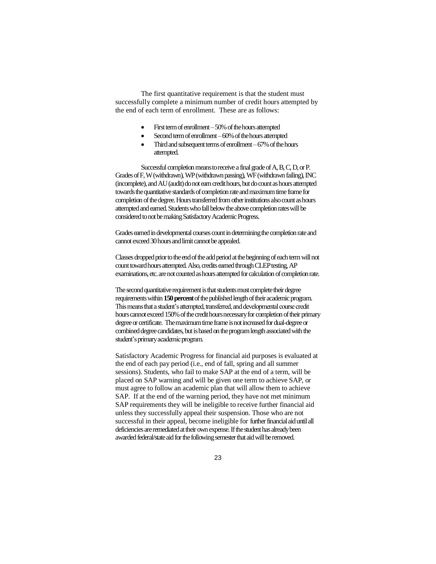The first quantitative requirement is that the student must successfully complete a minimum number of credit hours attempted by the end of each term of enrollment. These are as follows:

- First term of enrollment 50% of the hours attempted
- Second term of enrollment –60% of the hours attempted
- Third and subsequent terms of enrollment –67% of the hours attempted.

Successful completion means to receive a final grade of A, B, C, D, or P. Grades of F, W (withdrawn), WP (withdrawn passing), WF (withdrawn failing), INC (incomplete), and AU (audit) do not earn credit hours, but do count as hours attempted towards the quantitative standards of completion rate and maximum time frame for completion of the degree. Hours transferred from other institutions also count as hours attempted and earned. Students who fall below the above completion rates will be considered to not be making Satisfactory Academic Progress.

Grades earned in developmental courses count in determining the completion rate and cannot exceed 30 hours and limit cannot be appealed.

Classes dropped prior to the end of the add period at the beginning of each term will not count toward hours attempted. Also, credits earned through CLEP testing, AP examinations, etc. are not counted as hours attempted for calculation of completion rate.

The second quantitative requirement is that students must complete their degree requirements within **150 percent**of the published length of their academic program. This means that a student's attempted, transferred, and developmental course credit hours cannot exceed 150% of the credit hours necessary for completion of their primary degree or certificate. The maximum time frame is not increased for dual-degree or combined degree candidates, but is based on the program length associated with the student's primary academic program.

Satisfactory Academic Progress for financial aid purposes is evaluated at the end of each pay period (i.e., end of fall, spring and all summer sessions). Students, who fail to make SAP at the end of a term, will be placed on SAP warning and will be given one term to achieve SAP, or must agree to follow an academic plan that will allow them to achieve SAP. If at the end of the warning period, they have not met minimum SAP requirements they will be ineligible to receive further financial aid unless they successfully appeal their suspension. Those who are not successful in their appeal, become ineligible for further financial aid until all deficiencies are remediated at their own expense. If the student has already been awarded federal/state aid for the following semester that aid will be removed.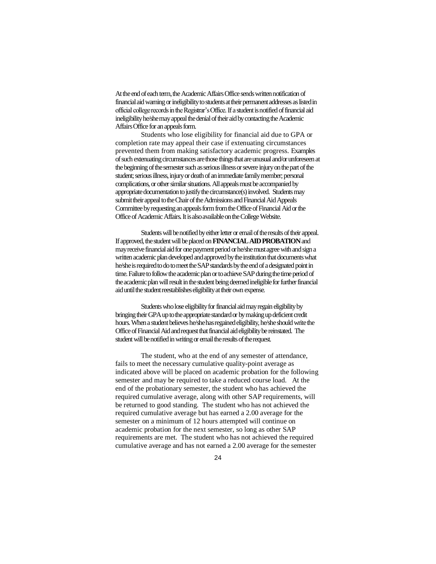At the end of each term, the Academic Affairs Office sends written notification of financial aid warning or ineligibility to students at their permanent addresses as listed in official college records in the Registrar's Office. If a student is notified of financial aid ineligibility he/she may appeal the denial of their aid by contacting the Academic Affairs Office for an appeals form.

Students who lose eligibility for financial aid due to GPA or completion rate may appeal their case if extenuating circumstances prevented them from making satisfactory academic progress. Examples of such extenuating circumstances are those things that are unusual and/or unforeseen at the beginning of the semester such as serious illness or severe injury on the part of the student; serious illness, injury or death of an immediate family member; personal complications, or other similar situations. All appeals must be accompanied by appropriate documentation to justify the circumstance(s) involved. Students may submit their appeal to the Chair of the Admissions and Financial Aid Appeals Committee by requesting an appeals form from the Office of Financial Aid or the Office of Academic Affairs. It is also available on the College Website.

Students will be notified by either letter or email of the results of their appeal. If approved, the student will be placed on **FINANCIAL AID PROBATION**and may receive financial aid for one payment period or he/she must agree with and sign a written academic plan developed and approved by the institution that documents what he/she is required to do to meet the SAP standards by the end of a designated point in time. Failure to follow the academic plan or to achieve SAP during the time period of the academic plan will result in the student being deemed ineligible for further financial aid until the student reestablishes eligibility at their own expense.

Students who lose eligibility for financial aid may regain eligibility by bringing their GPA up to the appropriate standard or by making up deficient credit hours. When a student believes he/she has regained eligibility, he/she should write the Office of Financial Aid and request that financial aid eligibility be reinstated. The student will be notified in writing or email the results of the request.

The student, who at the end of any semester of attendance, fails to meet the necessary cumulative quality-point average as indicated above will be placed on academic probation for the following semester and may be required to take a reduced course load. At the end of the probationary semester, the student who has achieved the required cumulative average, along with other SAP requirements, will be returned to good standing. The student who has not achieved the required cumulative average but has earned a 2.00 average for the semester on a minimum of 12 hours attempted will continue on academic probation for the next semester, so long as other SAP requirements are met. The student who has not achieved the required cumulative average and has not earned a 2.00 average for the semester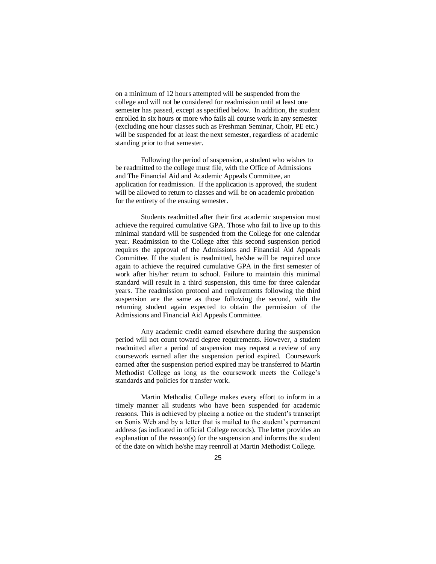on a minimum of 12 hours attempted will be suspended from the college and will not be considered for readmission until at least one semester has passed, except as specified below. In addition, the student enrolled in six hours or more who fails all course work in any semester (excluding one hour classes such as Freshman Seminar, Choir, PE etc.) will be suspended for at least the next semester, regardless of academic standing prior to that semester.

Following the period of suspension, a student who wishes to be readmitted to the college must file, with the Office of Admissions and The Financial Aid and Academic Appeals Committee, an application for readmission. If the application is approved, the student will be allowed to return to classes and will be on academic probation for the entirety of the ensuing semester.

Students readmitted after their first academic suspension must achieve the required cumulative GPA. Those who fail to live up to this minimal standard will be suspended from the College for one calendar year. Readmission to the College after this second suspension period requires the approval of the Admissions and Financial Aid Appeals Committee. If the student is readmitted, he/she will be required once again to achieve the required cumulative GPA in the first semester of work after his/her return to school. Failure to maintain this minimal standard will result in a third suspension, this time for three calendar years. The readmission protocol and requirements following the third suspension are the same as those following the second, with the returning student again expected to obtain the permission of the Admissions and Financial Aid Appeals Committee.

Any academic credit earned elsewhere during the suspension period will not count toward degree requirements. However, a student readmitted after a period of suspension may request a review of any coursework earned after the suspension period expired. Coursework earned after the suspension period expired may be transferred to Martin Methodist College as long as the coursework meets the College's standards and policies for transfer work.

Martin Methodist College makes every effort to inform in a timely manner all students who have been suspended for academic reasons. This is achieved by placing a notice on the student's transcript on Sonis Web and by a letter that is mailed to the student's permanent address (as indicated in official College records). The letter provides an explanation of the reason(s) for the suspension and informs the student of the date on which he/she may reenroll at Martin Methodist College.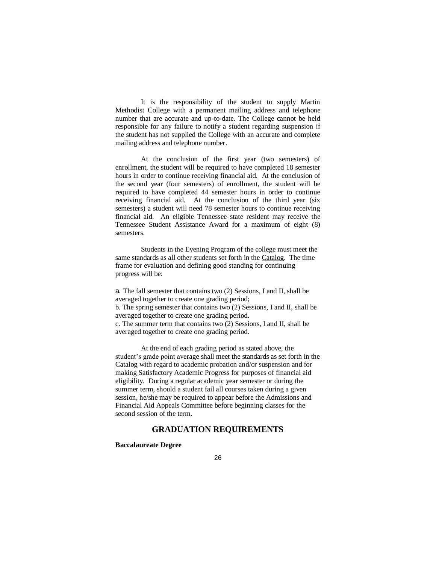It is the responsibility of the student to supply Martin Methodist College with a permanent mailing address and telephone number that are accurate and up-to-date. The College cannot be held responsible for any failure to notify a student regarding suspension if the student has not supplied the College with an accurate and complete mailing address and telephone number.

At the conclusion of the first year (two semesters) of enrollment, the student will be required to have completed 18 semester hours in order to continue receiving financial aid. At the conclusion of the second year (four semesters) of enrollment, the student will be required to have completed 44 semester hours in order to continue receiving financial aid. At the conclusion of the third year (six semesters) a student will need 78 semester hours to continue receiving financial aid. An eligible Tennessee state resident may receive the Tennessee Student Assistance Award for a maximum of eight (8) semesters.

Students in the Evening Program of the college must meet the same standards as all other students set forth in the Catalog. The time frame for evaluation and defining good standing for continuing progress will be:

a. The fall semester that contains two (2) Sessions, I and II, shall be averaged together to create one grading period; b. The spring semester that contains two (2) Sessions, I and II, shall be averaged together to create one grading period.

c. The summer term that contains two (2) Sessions, I and II, shall be averaged together to create one grading period.

At the end of each grading period as stated above, the student's grade point average shall meet the standards as set forth in the Catalog with regard to academic probation and/or suspension and for making Satisfactory Academic Progress for purposes of financial aid eligibility. During a regular academic year semester or during the summer term, should a student fail all courses taken during a given session, he/she may be required to appear before the Admissions and Financial Aid Appeals Committee before beginning classes for the second session of the term.

## **GRADUATION REQUIREMENTS**

**Baccalaureate Degree**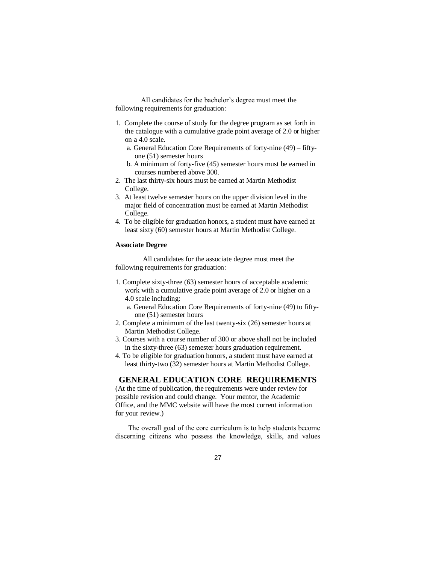All candidates for the bachelor's degree must meet the following requirements for graduation:

- 1. Complete the course of study for the degree program as set forth in the catalogue with a cumulative grade point average of 2.0 or higher on a 4.0 scale.
	- a. General Education Core Requirements of forty-nine (49) fiftyone (51) semester hours
	- b. A minimum of forty-five (45) semester hours must be earned in courses numbered above 300.
- 2. The last thirty-six hours must be earned at Martin Methodist College.
- 3. At least twelve semester hours on the upper division level in the major field of concentration must be earned at Martin Methodist College.
- 4. To be eligible for graduation honors, a student must have earned at least sixty (60) semester hours at Martin Methodist College.

#### **Associate Degree**

All candidates for the associate degree must meet the following requirements for graduation:

- 1. Complete sixty-three (63) semester hours of acceptable academic work with a cumulative grade point average of 2.0 or higher on a 4.0 scale including:
	- a. General Education Core Requirements of forty-nine (49) to fiftyone (51) semester hours
- 2. Complete a minimum of the last twenty-six (26) semester hours at Martin Methodist College.
- 3. Courses with a course number of 300 or above shall not be included in the sixty-three (63) semester hours graduation requirement.
- 4. To be eligible for graduation honors, a student must have earned at least thirty-two (32) semester hours at Martin Methodist College.

### **GENERAL EDUCATION CORE REQUIREMENTS**

(At the time of publication, the requirements were under review for possible revision and could change. Your mentor, the Academic Office, and the MMC website will have the most current information for your review.)

The overall goal of the core curriculum is to help students become discerning citizens who possess the knowledge, skills, and values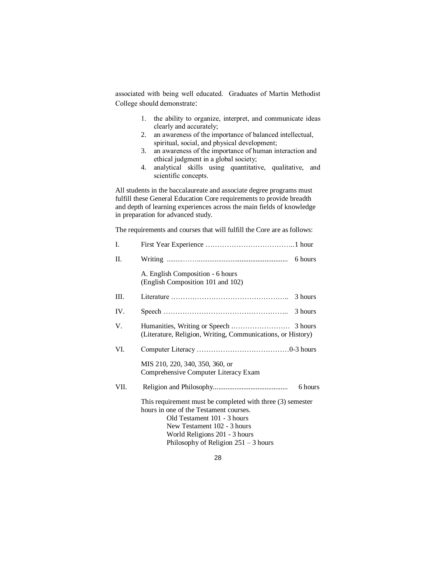associated with being well educated. Graduates of Martin Methodist College should demonstrate:

- 1. the ability to organize, interpret, and communicate ideas clearly and accurately;
- 2. an awareness of the importance of balanced intellectual, spiritual, social, and physical development;
- 3. an awareness of the importance of human interaction and ethical judgment in a global society;
- 4. analytical skills using quantitative, qualitative, and scientific concepts.

All students in the baccalaureate and associate degree programs must fulfill these General Education Core requirements to provide breadth and depth of learning experiences across the main fields of knowledge in preparation for advanced study.

The requirements and courses that will fulfill the Core are as follows:

| I.   |                                                                                                                                                                                                                                               |         |
|------|-----------------------------------------------------------------------------------------------------------------------------------------------------------------------------------------------------------------------------------------------|---------|
| П.   |                                                                                                                                                                                                                                               | 6 hours |
|      | A. English Composition - 6 hours<br>(English Composition 101 and 102)                                                                                                                                                                         |         |
| III. |                                                                                                                                                                                                                                               | 3 hours |
| IV.  |                                                                                                                                                                                                                                               | 3 hours |
| V.   | (Literature, Religion, Writing, Communications, or History)                                                                                                                                                                                   |         |
| VI.  |                                                                                                                                                                                                                                               |         |
|      | MIS 210, 220, 340, 350, 360, or<br>Comprehensive Computer Literacy Exam                                                                                                                                                                       |         |
| VII. |                                                                                                                                                                                                                                               | 6 hours |
|      | This requirement must be completed with three (3) semester<br>hours in one of the Testament courses.<br>Old Testament 101 - 3 hours<br>New Testament 102 - 3 hours<br>World Religions 201 - 3 hours<br>Philosophy of Religion $251 - 3$ hours |         |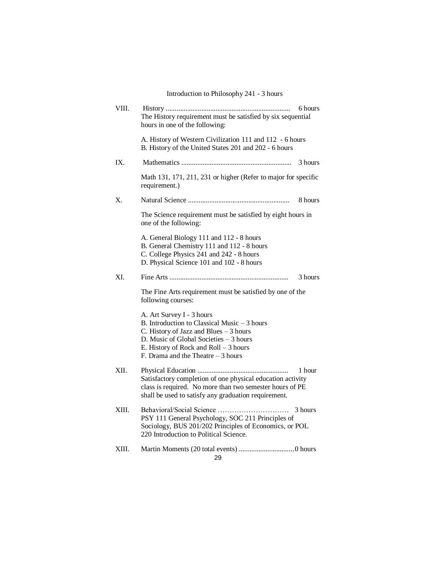Introduction to Philosophy 241 - 3 hours

| VIII. | The History requirement must be satisfied by six sequential<br>hours in one of the following:                                                                                                                                                    | 6 hours |
|-------|--------------------------------------------------------------------------------------------------------------------------------------------------------------------------------------------------------------------------------------------------|---------|
|       | A. History of Western Civilization 111 and 112 - 6 hours<br>B. History of the United States 201 and 202 - 6 hours                                                                                                                                |         |
| IX.   |                                                                                                                                                                                                                                                  | 3 hours |
|       | Math 131, 171, 211, 231 or higher (Refer to major for specific<br>requirement.)                                                                                                                                                                  |         |
| Χ.    |                                                                                                                                                                                                                                                  | 8 hours |
|       | The Science requirement must be satisfied by eight hours in<br>one of the following:                                                                                                                                                             |         |
|       | A. General Biology 111 and 112 - 8 hours<br>B. General Chemistry 111 and 112 - 8 hours<br>C. College Physics 241 and 242 - 8 hours<br>D. Physical Science 101 and 102 - 8 hours                                                                  |         |
| XI.   |                                                                                                                                                                                                                                                  | 3 hours |
|       | The Fine Arts requirement must be satisfied by one of the<br>following courses:                                                                                                                                                                  |         |
|       | A. Art Survey I - 3 hours<br>B. Introduction to Classical Music - 3 hours<br>C. History of Jazz and Blues $-3$ hours<br>D. Music of Global Societies - 3 hours<br>E. History of Rock and $Roll - 3 hours$<br>F. Drama and the Theatre $-3$ hours |         |
| XII.  | Satisfactory completion of one physical education activity<br>class is required. No more than two semester hours of PE<br>shall be used to satisfy any graduation requirement.                                                                   | 1 hour  |
| XIII. | PSY 111 General Psychology, SOC 211 Principles of<br>Sociology, BUS 201/202 Principles of Economics, or POL<br>220 Introduction to Political Science.                                                                                            | 3 hours |
| XIII. |                                                                                                                                                                                                                                                  |         |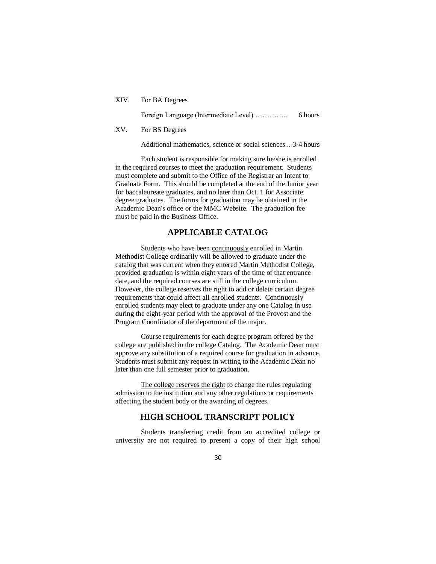XIV. For BA Degrees

Foreign Language (Intermediate Level) …………... 6 hours

XV. For BS Degrees

Additional mathematics, science or social sciences... 3-4 hours

Each student is responsible for making sure he/she is enrolled in the required courses to meet the graduation requirement. Students must complete and submit to the Office of the Registrar an Intent to Graduate Form. This should be completed at the end of the Junior year for baccalaureate graduates, and no later than Oct. 1 for Associate degree graduates. The forms for graduation may be obtained in the Academic Dean's office or the MMC Website. The graduation fee must be paid in the Business Office.

## **APPLICABLE CATALOG**

Students who have been continuously enrolled in Martin Methodist College ordinarily will be allowed to graduate under the catalog that was current when they entered Martin Methodist College, provided graduation is within eight years of the time of that entrance date, and the required courses are still in the college curriculum. However, the college reserves the right to add or delete certain degree requirements that could affect all enrolled students. Continuously enrolled students may elect to graduate under any one Catalog in use during the eight-year period with the approval of the Provost and the Program Coordinator of the department of the major.

Course requirements for each degree program offered by the college are published in the college Catalog. The Academic Dean must approve any substitution of a required course for graduation in advance. Students must submit any request in writing to the Academic Dean no later than one full semester prior to graduation.

The college reserves the right to change the rules regulating admission to the institution and any other regulations or requirements affecting the student body or the awarding of degrees.

# **HIGH SCHOOL TRANSCRIPT POLICY**

Students transferring credit from an accredited college or university are not required to present a copy of their high school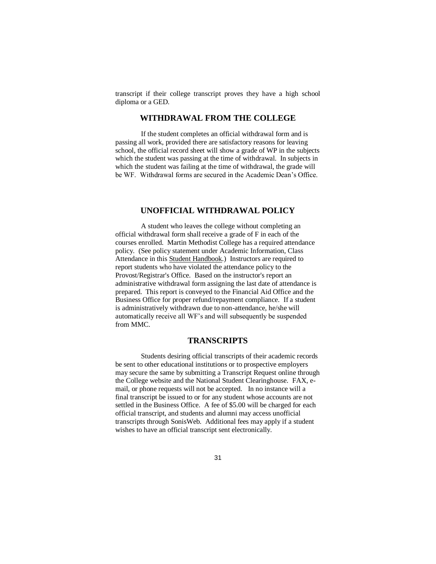transcript if their college transcript proves they have a high school diploma or a GED.

# **WITHDRAWAL FROM THE COLLEGE**

If the student completes an official withdrawal form and is passing all work, provided there are satisfactory reasons for leaving school, the official record sheet will show a grade of WP in the subjects which the student was passing at the time of withdrawal. In subjects in which the student was failing at the time of withdrawal, the grade will be WF. Withdrawal forms are secured in the Academic Dean's Office.

#### **UNOFFICIAL WITHDRAWAL POLICY**

A student who leaves the college without completing an official withdrawal form shall receive a grade of F in each of the courses enrolled. Martin Methodist College has a required attendance policy. (See policy statement under Academic Information, Class Attendance in this Student Handbook.) Instructors are required to report students who have violated the attendance policy to the Provost/Registrar's Office. Based on the instructor's report an administrative withdrawal form assigning the last date of attendance is prepared. This report is conveyed to the Financial Aid Office and the Business Office for proper refund/repayment compliance. If a student is administratively withdrawn due to non-attendance, he/she will automatically receive all WF's and will subsequently be suspended from MMC.

## **TRANSCRIPTS**

Students desiring official transcripts of their academic records be sent to other educational institutions or to prospective employers may secure the same by submitting a Transcript Request online through the College website and the National Student Clearinghouse. FAX, email, or phone requests will not be accepted. In no instance will a final transcript be issued to or for any student whose accounts are not settled in the Business Office. A fee of \$5.00 will be charged for each official transcript, and students and alumni may access unofficial transcripts through SonisWeb. Additional fees may apply if a student wishes to have an official transcript sent electronically.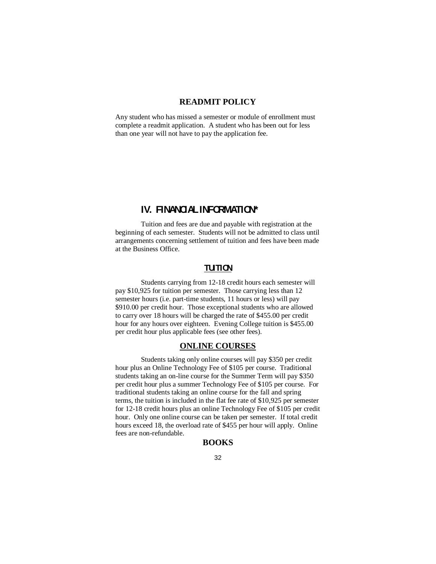# **READMIT POLICY**

Any student who has missed a semester or module of enrollment must complete a readmit application. A student who has been out for less than one year will not have to pay the application fee.

# **IV. FINANCIAL INFORMATION\***

Tuition and fees are due and payable with registration at the beginning of each semester. Students will not be admitted to class until arrangements concerning settlement of tuition and fees have been made at the Business Office.

# **TUTION**

Students carrying from 12-18 credit hours each semester will pay \$10,925 for tuition per semester. Those carrying less than 12 semester hours (i.e. part-time students, 11 hours or less) will pay \$910.00 per credit hour. Those exceptional students who are allowed to carry over 18 hours will be charged the rate of \$455.00 per credit hour for any hours over eighteen. Evening College tuition is \$455.00 per credit hour plus applicable fees (see other fees).

# **ONLINE COURSES**

Students taking only online courses will pay \$350 per credit hour plus an Online Technology Fee of \$105 per course. Traditional students taking an on-line course for the Summer Term will pay \$350 per credit hour plus a summer Technology Fee of \$105 per course. For traditional students taking an online course for the fall and spring terms, the tuition is included in the flat fee rate of \$10,925 per semester for 12-18 credit hours plus an online Technology Fee of \$105 per credit hour. Only one online course can be taken per semester. If total credit hours exceed 18, the overload rate of \$455 per hour will apply. Online fees are non-refundable.

### **BOOKS**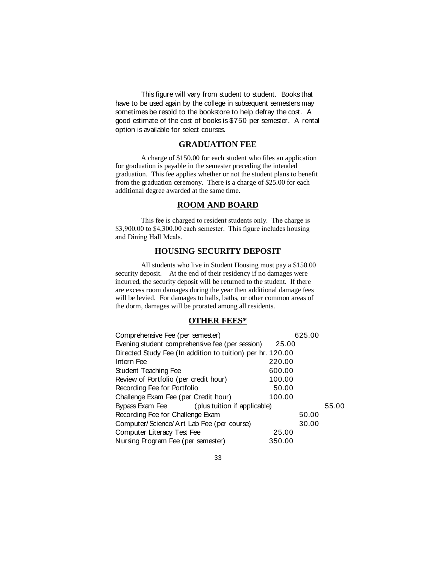This figure will vary from student to student. Books that have to be used again by the college in subsequent semesters may sometimes be resold to the bookstore to help defray the cost. A good estimate of the cost of books is \$750 per semester. A rental option is available for select courses.

#### **GRADUATION FEE**

A charge of \$150.00 for each student who files an application for graduation is payable in the semester preceding the intended graduation. This fee applies whether or not the student plans to benefit from the graduation ceremony. There is a charge of \$25.00 for each additional degree awarded at the same time.

## **ROOM AND BOARD**

This fee is charged to resident students only. The charge is \$3,900.00 to \$4,300.00 each semester. This figure includes housing and Dining Hall Meals.

# **HOUSING SECURITY DEPOSIT**

All students who live in Student Housing must pay a \$150.00 security deposit. At the end of their residency if no damages were incurred, the security deposit will be returned to the student. If there are excess room damages during the year then additional damage fees will be levied. For damages to halls, baths, or other common areas of the dorm, damages will be prorated among all residents.

# **OTHER FEES\***

| Comprehensive Fee (per semester)                           | 625.00 |       |       |  |  |
|------------------------------------------------------------|--------|-------|-------|--|--|
| Evening student comprehensive fee (per session)            | 25.00  |       |       |  |  |
| Directed Study Fee (In addition to tuition) per hr. 120.00 |        |       |       |  |  |
| Intern Fee                                                 | 220.00 |       |       |  |  |
| Student Teaching Fee                                       | 600.00 |       |       |  |  |
| Review of Portfolio (per credit hour)                      | 100.00 |       |       |  |  |
| Recording Fee for Portfolio                                | 50.00  |       |       |  |  |
| Challenge Exam Fee (per Credit hour)                       | 100.00 |       |       |  |  |
| Bypass Exam Fee<br>(plus tuition if applicable)            |        |       | 55.00 |  |  |
| Recording Fee for Challenge Exam                           |        | 50.00 |       |  |  |
| Computer/Science/Art Lab Fee (per course)                  |        | 30.00 |       |  |  |
| Computer Literacy Test Fee                                 | 25.00  |       |       |  |  |
| Nursing Program Fee (per semester)                         | 350.00 |       |       |  |  |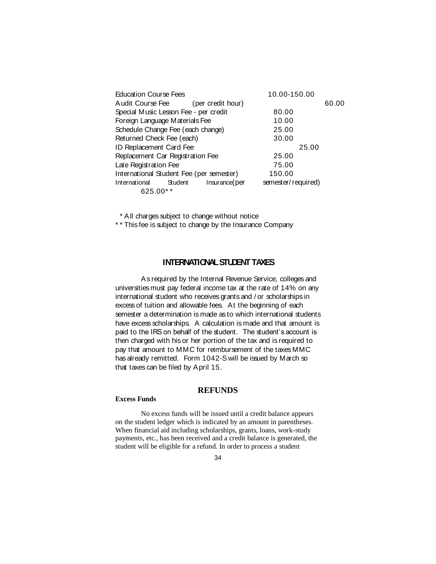| <b>Education Course Fees</b>             |                   | 10.00-150.00       |       |
|------------------------------------------|-------------------|--------------------|-------|
| Audit Course Fee                         | (per credit hour) |                    | 60.00 |
| Special Music Lesson Fee - per credit    |                   | 80.00              |       |
| Foreign Language Materials Fee           |                   | 10.00              |       |
| Schedule Change Fee (each change)        |                   | 25.00              |       |
| Returned Check Fee (each)                |                   | 30.00              |       |
| ID Replacement Card Fee                  |                   | 25.00              |       |
| Replacement Car Registration Fee         |                   | 25.00              |       |
| Late Registration Fee                    |                   | 75.00              |       |
| International Student Fee (per semester) |                   | 150.00             |       |
| International<br>Student                 | Insurance (per    | semester/required) |       |
| 625.00**                                 |                   |                    |       |

\* All charges subject to change without notice

\* \* This fee is subject to change by the Insurance Company

## **INTERNATIONAL STUDENT TAXES**

As required by the Internal Revenue Service, colleges and universities must pay federal income tax at the rate of 14% on any international student who receives grants and / or scholarships in excess of tuition and allowable fees. At the beginning of each semester a determination is made as to which international students have excess scholarships. A calculation is made and that amount is paid to the IRS on behalf of the student. The student's account is then charged with his or her portion of the tax and is required to pay that amount to MMC for reimbursement of the taxes MMC has already remitted. Form 1042-S will be issued by March so that taxes can be filed by April 15.

### **REFUNDS**

#### **Excess Funds**

No excess funds will be issued until a credit balance appears on the student ledger which is indicated by an amount in parentheses. When financial aid including scholarships, grants, loans, work-study payments, etc., has been received and a credit balance is generated, the student will be eligible for a refund. In order to process a student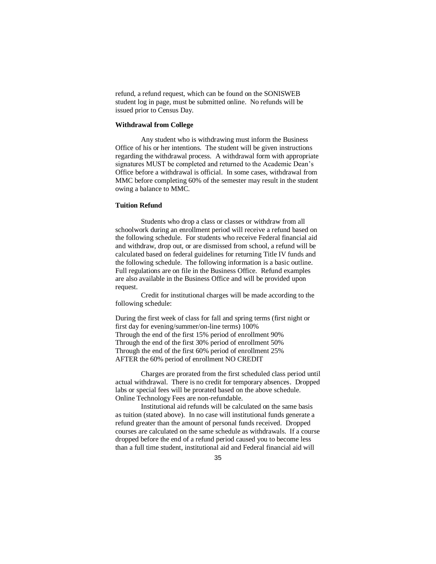refund, a refund request, which can be found on the SONISWEB student log in page, must be submitted online. No refunds will be issued prior to Census Day.

#### **Withdrawal from College**

Any student who is withdrawing must inform the Business Office of his or her intentions. The student will be given instructions regarding the withdrawal process. A withdrawal form with appropriate signatures MUST be completed and returned to the Academic Dean's Office before a withdrawal is official. In some cases, withdrawal from MMC before completing 60% of the semester may result in the student owing a balance to MMC.

#### **Tuition Refund**

Students who drop a class or classes or withdraw from all schoolwork during an enrollment period will receive a refund based on the following schedule. For students who receive Federal financial aid and withdraw, drop out, or are dismissed from school, a refund will be calculated based on federal guidelines for returning Title IV funds and the following schedule. The following information is a basic outline. Full regulations are on file in the Business Office. Refund examples are also available in the Business Office and will be provided upon request.

Credit for institutional charges will be made according to the following schedule:

During the first week of class for fall and spring terms (first night or first day for evening/summer/on-line terms) 100% Through the end of the first 15% period of enrollment 90% Through the end of the first 30% period of enrollment 50% Through the end of the first 60% period of enrollment 25% AFTER the 60% period of enrollment NO CREDIT

Charges are prorated from the first scheduled class period until actual withdrawal. There is no credit for temporary absences. Dropped labs or special fees will be prorated based on the above schedule. Online Technology Fees are non-refundable.

Institutional aid refunds will be calculated on the same basis as tuition (stated above). In no case will institutional funds generate a refund greater than the amount of personal funds received. Dropped courses are calculated on the same schedule as withdrawals. If a course dropped before the end of a refund period caused you to become less than a full time student, institutional aid and Federal financial aid will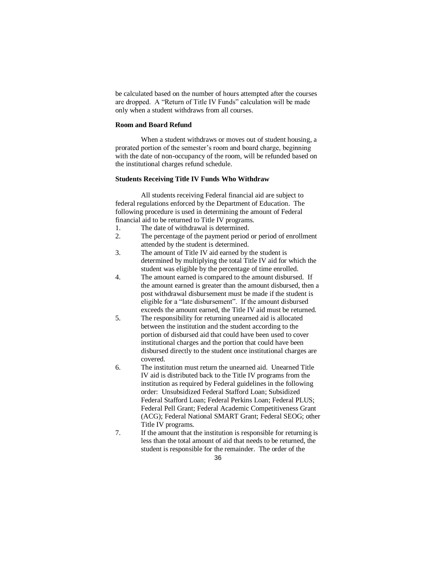be calculated based on the number of hours attempted after the courses are dropped. A "Return of Title IV Funds" calculation will be made only when a student withdraws from all courses.

#### **Room and Board Refund**

When a student withdraws or moves out of student housing, a prorated portion of the semester's room and board charge, beginning with the date of non-occupancy of the room, will be refunded based on the institutional charges refund schedule.

#### **Students Receiving Title IV Funds Who Withdraw**

All students receiving Federal financial aid are subject to federal regulations enforced by the Department of Education. The following procedure is used in determining the amount of Federal financial aid to be returned to Title IV programs.

- 1. The date of withdrawal is determined.
- 2. The percentage of the payment period or period of enrollment attended by the student is determined.
- 3. The amount of Title IV aid earned by the student is determined by multiplying the total Title IV aid for which the student was eligible by the percentage of time enrolled.
- 4. The amount earned is compared to the amount disbursed. If the amount earned is greater than the amount disbursed, then a post withdrawal disbursement must be made if the student is eligible for a "late disbursement". If the amount disbursed exceeds the amount earned, the Title IV aid must be returned.
- 5. The responsibility for returning unearned aid is allocated between the institution and the student according to the portion of disbursed aid that could have been used to cover institutional charges and the portion that could have been disbursed directly to the student once institutional charges are covered.
- 6. The institution must return the unearned aid. Unearned Title IV aid is distributed back to the Title IV programs from the institution as required by Federal guidelines in the following order: Unsubsidized Federal Stafford Loan; Subsidized Federal Stafford Loan; Federal Perkins Loan; Federal PLUS; Federal Pell Grant; Federal Academic Competitiveness Grant (ACG); Federal National SMART Grant; Federal SEOG; other Title IV programs.
- 7. If the amount that the institution is responsible for returning is less than the total amount of aid that needs to be returned, the student is responsible for the remainder. The order of the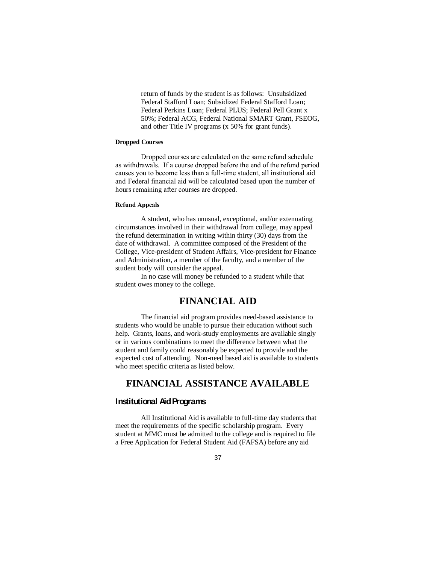return of funds by the student is as follows: Unsubsidized Federal Stafford Loan; Subsidized Federal Stafford Loan; Federal Perkins Loan; Federal PLUS; Federal Pell Grant x 50%; Federal ACG, Federal National SMART Grant, FSEOG, and other Title IV programs (x 50% for grant funds).

#### **Dropped Courses**

Dropped courses are calculated on the same refund schedule as withdrawals. If a course dropped before the end of the refund period causes you to become less than a full-time student, all institutional aid and Federal financial aid will be calculated based upon the number of hours remaining after courses are dropped.

#### **Refund Appeals**

A student, who has unusual, exceptional, and/or extenuating circumstances involved in their withdrawal from college, may appeal the refund determination in writing within thirty (30) days from the date of withdrawal. A committee composed of the President of the College, Vice-president of Student Affairs, Vice-president for Finance and Administration, a member of the faculty, and a member of the student body will consider the appeal.

In no case will money be refunded to a student while that student owes money to the college.

# **FINANCIAL AID**

The financial aid program provides need-based assistance to students who would be unable to pursue their education without such help. Grants, loans, and work-study employments are available singly or in various combinations to meet the difference between what the student and family could reasonably be expected to provide and the expected cost of attending. Non-need based aid is available to students who meet specific criteria as listed below.

# **FINANCIAL ASSISTANCE AVAILABLE**

### I**nstitutional Aid Programs**

All Institutional Aid is available to full-time day students that meet the requirements of the specific scholarship program. Every student at MMC must be admitted to the college and is required to file a Free Application for Federal Student Aid (FAFSA) before any aid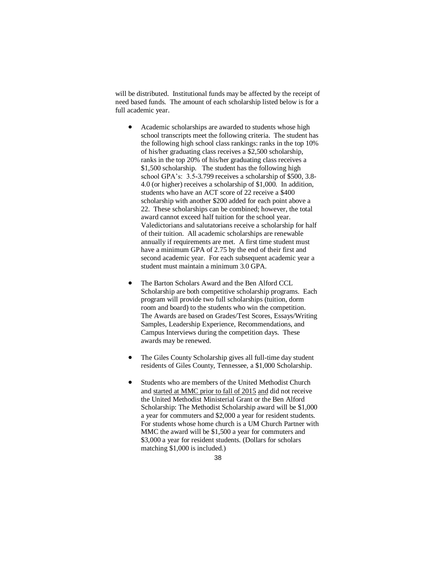will be distributed. Institutional funds may be affected by the receipt of need based funds. The amount of each scholarship listed below is for a full academic year.

- Academic scholarships are awarded to students whose high school transcripts meet the following criteria. The student has the following high school class rankings: ranks in the top 10% of his/her graduating class receives a \$2,500 scholarship, ranks in the top 20% of his/her graduating class receives a \$1,500 scholarship. The student has the following high school GPA's: 3.5-3.799 receives a scholarship of \$500, 3.8- 4.0 (or higher) receives a scholarship of \$1,000. In addition, students who have an ACT score of 22 receive a \$400 scholarship with another \$200 added for each point above a 22. These scholarships can be combined; however, the total award cannot exceed half tuition for the school year. Valedictorians and salutatorians receive a scholarship for half of their tuition. All academic scholarships are renewable annually if requirements are met. A first time student must have a minimum GPA of 2.75 by the end of their first and second academic year. For each subsequent academic year a student must maintain a minimum 3.0 GPA.
- The Barton Scholars Award and the Ben Alford CCL Scholarship are both competitive scholarship programs. Each program will provide two full scholarships (tuition, dorm room and board) to the students who win the competition. The Awards are based on Grades/Test Scores, Essays/Writing Samples, Leadership Experience, Recommendations, and Campus Interviews during the competition days. These awards may be renewed.
- The Giles County Scholarship gives all full-time day student residents of Giles County, Tennessee, a \$1,000 Scholarship.
- Students who are members of the United Methodist Church and started at MMC prior to fall of 2015 and did not receive the United Methodist Ministerial Grant or the Ben Alford Scholarship: The Methodist Scholarship award will be \$1,000 a year for commuters and \$2,000 a year for resident students. For students whose home church is a UM Church Partner with MMC the award will be \$1,500 a year for commuters and \$3,000 a year for resident students. (Dollars for scholars matching \$1,000 is included.)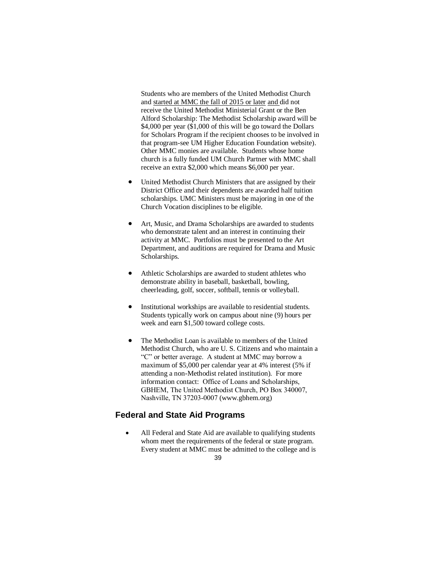Students who are members of the United Methodist Church and started at MMC the fall of 2015 or later and did not receive the United Methodist Ministerial Grant or the Ben Alford Scholarship: The Methodist Scholarship award will be \$4,000 per year (\$1,000 of this will be go toward the Dollars for Scholars Program if the recipient chooses to be involved in that program-see UM Higher Education Foundation website). Other MMC monies are available. Students whose home church is a fully funded UM Church Partner with MMC shall receive an extra \$2,000 which means \$6,000 per year.

- United Methodist Church Ministers that are assigned by their District Office and their dependents are awarded half tuition scholarships. UMC Ministers must be majoring in one of the Church Vocation disciplines to be eligible.
- Art, Music, and Drama Scholarships are awarded to students who demonstrate talent and an interest in continuing their activity at MMC. Portfolios must be presented to the Art Department, and auditions are required for Drama and Music Scholarships.
- Athletic Scholarships are awarded to student athletes who demonstrate ability in baseball, basketball, bowling, cheerleading, golf, soccer, softball, tennis or volleyball.
- Institutional workships are available to residential students. Students typically work on campus about nine (9) hours per week and earn \$1,500 toward college costs.
- The Methodist Loan is available to members of the United Methodist Church, who are U. S. Citizens and who maintain a "C" or better average. A student at MMC may borrow a maximum of \$5,000 per calendar year at 4% interest (5% if attending a non-Methodist related institution). For more information contact: Office of Loans and Scholarships, GBHEM, The United Methodist Church, PO Box 340007, Nashville, TN 37203-0007 (www.gbhem.org)

## **Federal and State Aid Programs**

 All Federal and State Aid are available to qualifying students whom meet the requirements of the federal or state program. Every student at MMC must be admitted to the college and is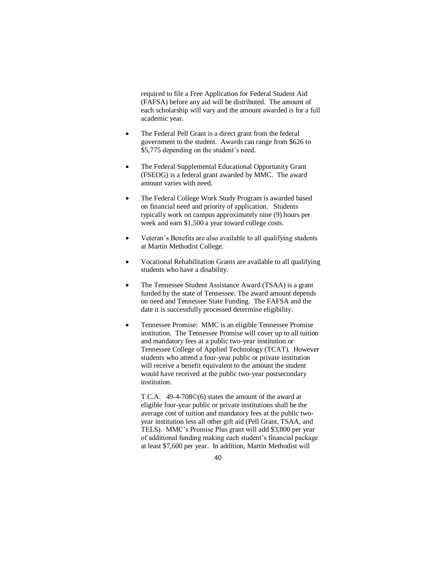required to file a Free Application for Federal Student Aid (FAFSA) before any aid will be distributed. The amount of each scholarship will vary and the amount awarded is for a full academic year.

- The Federal Pell Grant is a direct grant from the federal government to the student. Awards can range from \$626 to \$5,775 depending on the student's need.
- The Federal Supplemental Educational Opportunity Grant (FSEOG) is a federal grant awarded by MMC. The award amount varies with need.
- The Federal College Work Study Program is awarded based on financial need and priority of application. Students typically work on campus approximately nine (9) hours per week and earn \$1,500 a year toward college costs.
- Veteran's Benefits are also available to all qualifying students at Martin Methodist College.
- Vocational Rehabilitation Grants are available to all qualifying students who have a disability.
- The Tennessee Student Assistance Award (TSAA) is a grant funded by the state of Tennessee. The award amount depends on need and Tennessee State Funding. The FAFSA and the date it is successfully processed determine eligibility.
- Tennessee Promise: MMC is an eligible Tennessee Promise institution. The Tennessee Promise will cover up to all tuition and mandatory fees at a public two-year institution or Tennessee College of Applied Technology (TCAT). However students who attend a four-year public or private institution will receive a benefit equivalent to the amount the student would have received at the public two-year postsecondary institution.

T.C.A. 49-4-708©(6) states the amount of the award at eligible four-year public or private institutions shall be the average cost of tuition and mandatory fees at the public twoyear institution less all other gift aid (Pell Grant, TSAA, and TELS). MMC's Promise Plus grant will add \$3,800 per year of additional funding making each student's financial package at least \$7,600 per year. In addition, Martin Methodist will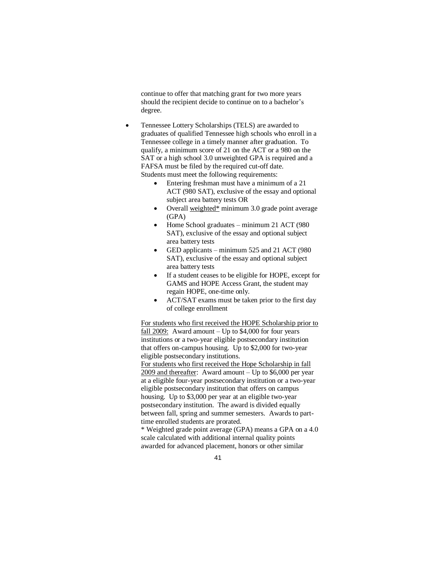continue to offer that matching grant for two more years should the recipient decide to continue on to a bachelor's degree.

- Tennessee Lottery Scholarships (TELS) are awarded to graduates of qualified Tennessee high schools who enroll in a Tennessee college in a timely manner after graduation. To qualify, a minimum score of 21 on the ACT or a 980 on the SAT or a high school 3.0 unweighted GPA is required and a FAFSA must be filed by the required cut-off date. Students must meet the following requirements:
	- Entering freshman must have a minimum of a 21 ACT (980 SAT), exclusive of the essay and optional subject area battery tests OR
	- Overall weighted\* minimum 3.0 grade point average (GPA)
	- Home School graduates minimum 21 ACT (980 SAT), exclusive of the essay and optional subject area battery tests
	- GED applicants minimum 525 and 21 ACT (980) SAT), exclusive of the essay and optional subject area battery tests
	- If a student ceases to be eligible for HOPE, except for GAMS and HOPE Access Grant, the student may regain HOPE, one-time only.
	- ACT/SAT exams must be taken prior to the first day of college enrollment

For students who first received the HOPE Scholarship prior to fall 2009: Award amount  $-$  Up to \$4,000 for four years institutions or a two-year eligible postsecondary institution that offers on-campus housing. Up to \$2,000 for two-year eligible postsecondary institutions.

For students who first received the Hope Scholarship in fall 2009 and thereafter: Award amount – Up to \$6,000 per year at a eligible four-year postsecondary institution or a two-year eligible postsecondary institution that offers on campus housing. Up to \$3,000 per year at an eligible two-year postsecondary institution. The award is divided equally between fall, spring and summer semesters. Awards to parttime enrolled students are prorated.

\* Weighted grade point average (GPA) means a GPA on a 4.0 scale calculated with additional internal quality points awarded for advanced placement, honors or other similar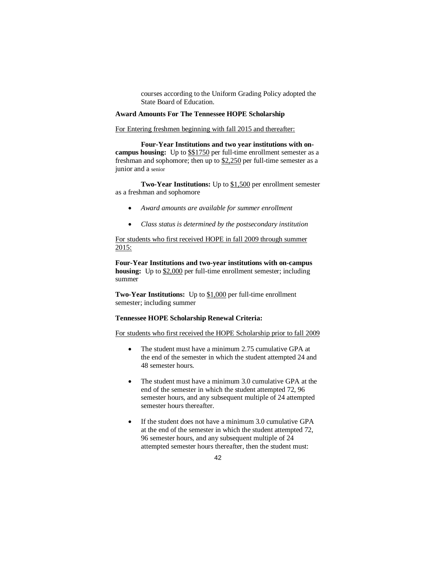courses according to the Uniform Grading Policy adopted the State Board of Education.

#### **Award Amounts For The Tennessee HOPE Scholarship**

For Entering freshmen beginning with fall 2015 and thereafter:

**Four-Year Institutions and two year institutions with oncampus housing:** Up to  $$1750$  per full-time enrollment semester as a freshman and sophomore; then up to \$2,250 per full-time semester as a junior and a senior

**Two-Year Institutions:** Up to \$1,500 per enrollment semester as a freshman and sophomore

- *Award amounts are available for summer enrollment*
- *Class status is determined by the postsecondary institution*

For students who first received HOPE in fall 2009 through summer 2015:

**Four-Year Institutions and two-year institutions with on-campus housing:** Up to \$2,000 per full-time enrollment semester; including summer

**Two-Year Institutions:** Up to \$1,000 per full-time enrollment semester; including summer

#### **Tennessee HOPE Scholarship Renewal Criteria:**

For students who first received the HOPE Scholarship prior to fall 2009

- The student must have a minimum 2.75 cumulative GPA at the end of the semester in which the student attempted 24 and 48 semester hours.
- The student must have a minimum 3.0 cumulative GPA at the end of the semester in which the student attempted 72, 96 semester hours, and any subsequent multiple of 24 attempted semester hours thereafter.
- If the student does not have a minimum 3.0 cumulative GPA at the end of the semester in which the student attempted 72, 96 semester hours, and any subsequent multiple of 24 attempted semester hours thereafter, then the student must: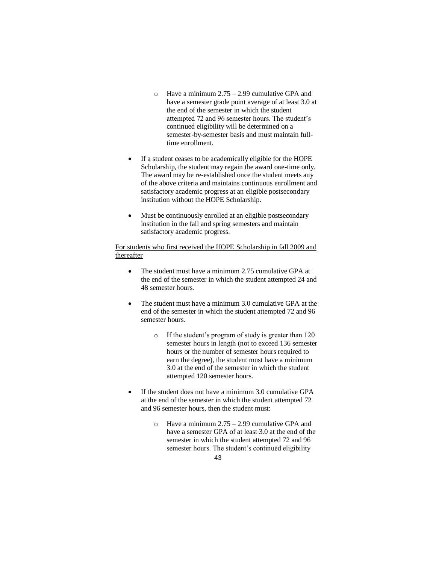- $\circ$  Have a minimum 2.75 2.99 cumulative GPA and have a semester grade point average of at least 3.0 at the end of the semester in which the student attempted 72 and 96 semester hours. The student's continued eligibility will be determined on a semester-by-semester basis and must maintain fulltime enrollment.
- If a student ceases to be academically eligible for the HOPE Scholarship, the student may regain the award one-time only. The award may be re-established once the student meets any of the above criteria and maintains continuous enrollment and satisfactory academic progress at an eligible postsecondary institution without the HOPE Scholarship.
- Must be continuously enrolled at an eligible postsecondary institution in the fall and spring semesters and maintain satisfactory academic progress.

#### For students who first received the HOPE Scholarship in fall 2009 and thereafter

- The student must have a minimum 2.75 cumulative GPA at the end of the semester in which the student attempted 24 and 48 semester hours.
- The student must have a minimum 3.0 cumulative GPA at the end of the semester in which the student attempted 72 and 96 semester hours.
	- o If the student's program of study is greater than 120 semester hours in length (not to exceed 136 semester hours or the number of semester hours required to earn the degree), the student must have a minimum 3.0 at the end of the semester in which the student attempted 120 semester hours.
- If the student does not have a minimum 3.0 cumulative GPA at the end of the semester in which the student attempted 72 and 96 semester hours, then the student must:
	- $\circ$  Have a minimum 2.75 2.99 cumulative GPA and have a semester GPA of at least 3.0 at the end of the semester in which the student attempted 72 and 96 semester hours. The student's continued eligibility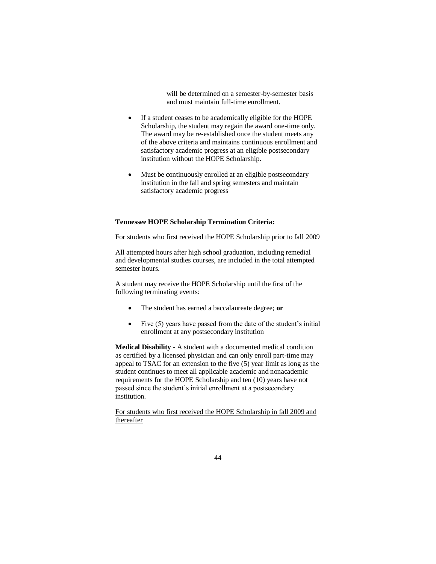will be determined on a semester-by-semester basis and must maintain full-time enrollment.

- If a student ceases to be academically eligible for the HOPE Scholarship, the student may regain the award one-time only. The award may be re-established once the student meets any of the above criteria and maintains continuous enrollment and satisfactory academic progress at an eligible postsecondary institution without the HOPE Scholarship.
- Must be continuously enrolled at an eligible postsecondary institution in the fall and spring semesters and maintain satisfactory academic progress

#### **Tennessee HOPE Scholarship Termination Criteria:**

For students who first received the HOPE Scholarship prior to fall 2009

All attempted hours after high school graduation, including remedial and developmental studies courses, are included in the total attempted semester hours.

A student may receive the HOPE Scholarship until the first of the following terminating events:

- The student has earned a baccalaureate degree; **or**
- Five  $(5)$  years have passed from the date of the student's initial enrollment at any postsecondary institution

**Medical Disability** - A student with a documented medical condition as certified by a licensed physician and can only enroll part-time may appeal to TSAC for an extension to the five (5) year limit as long as the student continues to meet all applicable academic and nonacademic requirements for the HOPE Scholarship and ten (10) years have not passed since the student's initial enrollment at a postsecondary institution.

For students who first received the HOPE Scholarship in fall 2009 and thereafter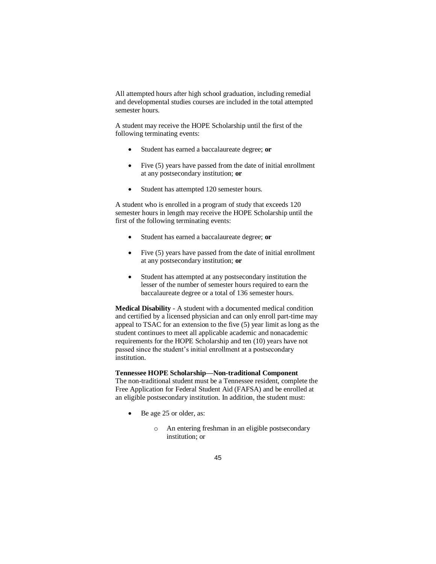All attempted hours after high school graduation, including remedial and developmental studies courses are included in the total attempted semester hours.

A student may receive the HOPE Scholarship until the first of the following terminating events:

- Student has earned a baccalaureate degree; **or**
- Five (5) years have passed from the date of initial enrollment at any postsecondary institution; **or**
- Student has attempted 120 semester hours.

A student who is enrolled in a program of study that exceeds 120 semester hours in length may receive the HOPE Scholarship until the first of the following terminating events:

- Student has earned a baccalaureate degree; **or**
- Five (5) years have passed from the date of initial enrollment at any postsecondary institution; **or**
- Student has attempted at any postsecondary institution the lesser of the number of semester hours required to earn the baccalaureate degree or a total of 136 semester hours.

**Medical Disability** - A student with a documented medical condition and certified by a licensed physician and can only enroll part-time may appeal to TSAC for an extension to the five (5) year limit as long as the student continues to meet all applicable academic and nonacademic requirements for the HOPE Scholarship and ten (10) years have not passed since the student's initial enrollment at a postsecondary institution.

#### **Tennessee HOPE Scholarship—Non-traditional Component**

The non-traditional student must be a Tennessee resident, complete the Free Application for Federal Student Aid (FAFSA) and be enrolled at an eligible postsecondary institution. In addition, the student must:

- Be age 25 or older, as:
	- o An entering freshman in an eligible postsecondary institution; or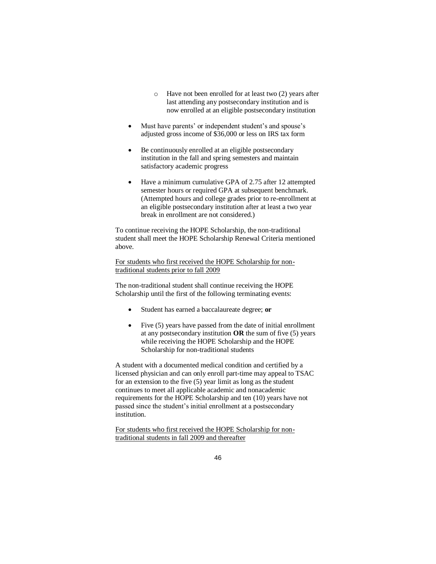- o Have not been enrolled for at least two (2) years after last attending any postsecondary institution and is now enrolled at an eligible postsecondary institution
- Must have parents' or independent student's and spouse's adjusted gross income of \$36,000 or less on IRS tax form
- Be continuously enrolled at an eligible postsecondary institution in the fall and spring semesters and maintain satisfactory academic progress
- Have a minimum cumulative GPA of 2.75 after 12 attempted semester hours or required GPA at subsequent benchmark. (Attempted hours and college grades prior to re-enrollment at an eligible postsecondary institution after at least a two year break in enrollment are not considered.)

To continue receiving the HOPE Scholarship, the non-traditional student shall meet the HOPE Scholarship Renewal Criteria mentioned above.

For students who first received the HOPE Scholarship for nontraditional students prior to fall 2009

The non-traditional student shall continue receiving the HOPE Scholarship until the first of the following terminating events:

- Student has earned a baccalaureate degree; **or**
- Five (5) years have passed from the date of initial enrollment at any postsecondary institution **OR** the sum of five (5) years while receiving the HOPE Scholarship and the HOPE Scholarship for non-traditional students

A student with a documented medical condition and certified by a licensed physician and can only enroll part-time may appeal to TSAC for an extension to the five (5) year limit as long as the student continues to meet all applicable academic and nonacademic requirements for the HOPE Scholarship and ten (10) years have not passed since the student's initial enrollment at a postsecondary institution.

For students who first received the HOPE Scholarship for nontraditional students in fall 2009 and thereafter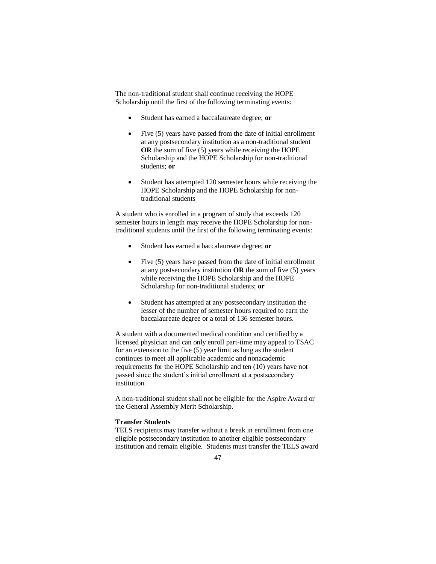The non-traditional student shall continue receiving the HOPE Scholarship until the first of the following terminating events:

- Student has earned a baccalaureate degree; **or**
- Five (5) years have passed from the date of initial enrollment at any postsecondary institution as a non-traditional student **OR** the sum of five (5) years while receiving the HOPE Scholarship and the HOPE Scholarship for non-traditional students; **or**
- Student has attempted 120 semester hours while receiving the HOPE Scholarship and the HOPE Scholarship for nontraditional students

A student who is enrolled in a program of study that exceeds 120 semester hours in length may receive the HOPE Scholarship for nontraditional students until the first of the following terminating events:

- Student has earned a baccalaureate degree; **or**
- Five (5) years have passed from the date of initial enrollment at any postsecondary institution **OR** the sum of five (5) years while receiving the HOPE Scholarship and the HOPE Scholarship for non-traditional students; **or**
- Student has attempted at any postsecondary institution the lesser of the number of semester hours required to earn the baccalaureate degree or a total of 136 semester hours.

A student with a documented medical condition and certified by a licensed physician and can only enroll part-time may appeal to TSAC for an extension to the five (5) year limit as long as the student continues to meet all applicable academic and nonacademic requirements for the HOPE Scholarship and ten (10) years have not passed since the student's initial enrollment at a postsecondary institution.

A non-traditional student shall not be eligible for the Aspire Award or the General Assembly Merit Scholarship.

#### **Transfer Students**

TELS recipients may transfer without a break in enrollment from one eligible postsecondary institution to another eligible postsecondary institution and remain eligible. Students must transfer the TELS award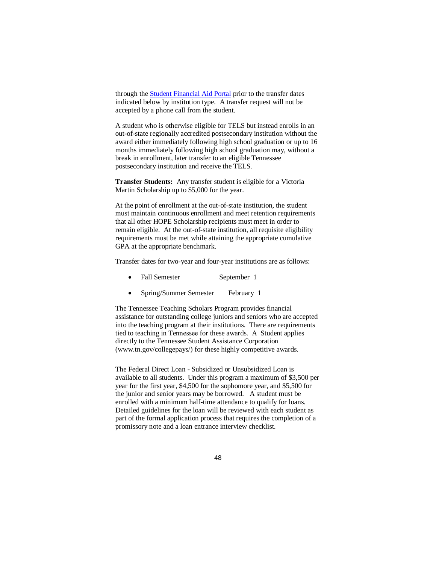through th[e Student Financial Aid Portal](https://clipslink.guarantorsolutions.com/StudentSignon/Default.aspx) prior to the transfer dates indicated below by institution type. A transfer request will not be accepted by a phone call from the student.

A student who is otherwise eligible for TELS but instead enrolls in an out-of-state regionally accredited postsecondary institution without the award either immediately following high school graduation or up to 16 months immediately following high school graduation may, without a break in enrollment, later transfer to an eligible Tennessee postsecondary institution and receive the TELS.

**Transfer Students:** Any transfer student is eligible for a Victoria Martin Scholarship up to \$5,000 for the year.

At the point of enrollment at the out-of-state institution, the student must maintain continuous enrollment and meet retention requirements that all other HOPE Scholarship recipients must meet in order to remain eligible. At the out-of-state institution, all requisite eligibility requirements must be met while attaining the appropriate cumulative GPA at the appropriate benchmark.

Transfer dates for two-year and four-year institutions are as follows:

- Fall Semester September 1
- Spring/Summer Semester February 1

The Tennessee Teaching Scholars Program provides financial assistance for outstanding college juniors and seniors who are accepted into the teaching program at their institutions. There are requirements tied to teaching in Tennessee for these awards. A Student applies directly to the Tennessee Student Assistance Corporation (www.tn.gov/collegepays/) for these highly competitive awards.

The Federal Direct Loan - Subsidized or Unsubsidized Loan is available to all students. Under this program a maximum of \$3,500 per year for the first year, \$4,500 for the sophomore year, and \$5,500 for the junior and senior years may be borrowed. A student must be enrolled with a minimum half-time attendance to qualify for loans. Detailed guidelines for the loan will be reviewed with each student as part of the formal application process that requires the completion of a promissory note and a loan entrance interview checklist.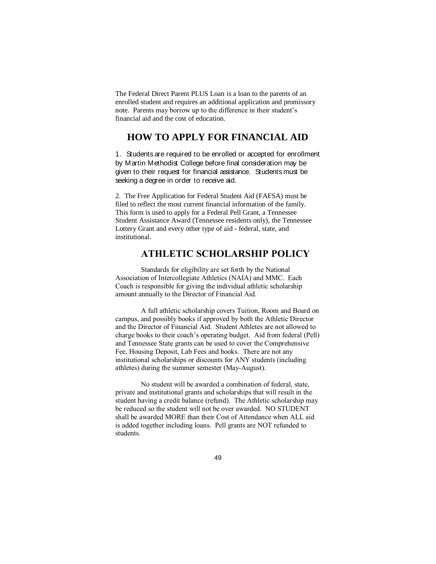The Federal Direct Parent PLUS Loan is a loan to the parents of an enrolled student and requires an additional application and promissory note. Parents may borrow up to the difference in their student's financial aid and the cost of education.

# **HOW TO APPLY FOR FINANCIAL AID**

1. Students are required to be enrolled or accepted for enrollment by Martin Methodist College before final consideration may be given to their request for financial assistance. Students must be seeking a degree in order to receive aid.

2. The Free Application for Federal Student Aid (FAFSA) must be filed to reflect the most current financial information of the family. This form is used to apply for a Federal Pell Grant, a Tennessee Student Assistance Award (Tennessee residents only), the Tennessee Lottery Grant and every other type of aid - federal, state, and institutional.

# **ATHLETIC SCHOLARSHIP POLICY**

Standards for eligibility are set forth by the National Association of Intercollegiate Athletics (NAIA) and MMC. Each Coach is responsible for giving the individual athletic scholarship amount annually to the Director of Financial Aid.

A full athletic scholarship covers Tuition, Room and Board on campus, and possibly books if approved by both the Athletic Director and the Director of Financial Aid. Student Athletes are not allowed to charge books to their coach's operating budget. Aid from federal (Pell) and Tennessee State grants can be used to cover the Comprehensive Fee, Housing Deposit, Lab Fees and books. There are not any institutional scholarships or discounts for ANY students (including athletes) during the summer semester (May-August).

No student will be awarded a combination of federal, state, private and institutional grants and scholarships that will result in the student having a credit balance (refund). The Athletic scholarship may be reduced so the student will not be over awarded. NO STUDENT shall be awarded MORE than their Cost of Attendance when ALL aid is added together including loans. Pell grants are NOT refunded to students.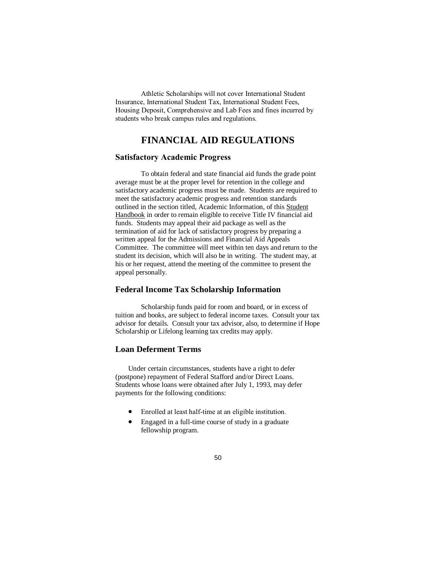Athletic Scholarships will not cover International Student Insurance, International Student Tax, International Student Fees, Housing Deposit, Comprehensive and Lab Fees and fines incurred by students who break campus rules and regulations.

# **FINANCIAL AID REGULATIONS**

## **Satisfactory Academic Progress**

To obtain federal and state financial aid funds the grade point average must be at the proper level for retention in the college and satisfactory academic progress must be made. Students are required to meet the satisfactory academic progress and retention standards outlined in the section titled, Academic Information, of this Student Handbook in order to remain eligible to receive Title IV financial aid funds. Students may appeal their aid package as well as the termination of aid for lack of satisfactory progress by preparing a written appeal for the Admissions and Financial Aid Appeals Committee. The committee will meet within ten days and return to the student its decision, which will also be in writing. The student may, at his or her request, attend the meeting of the committee to present the appeal personally.

#### **Federal Income Tax Scholarship Information**

Scholarship funds paid for room and board, or in excess of tuition and books, are subject to federal income taxes. Consult your tax advisor for details. Consult your tax advisor, also, to determine if Hope Scholarship or Lifelong learning tax credits may apply.

### **Loan Deferment Terms**

Under certain circumstances, students have a right to defer (postpone) repayment of Federal Stafford and/or Direct Loans. Students whose loans were obtained after July 1, 1993, may defer payments for the following conditions:

- Enrolled at least half-time at an eligible institution.
- Engaged in a full-time course of study in a graduate fellowship program.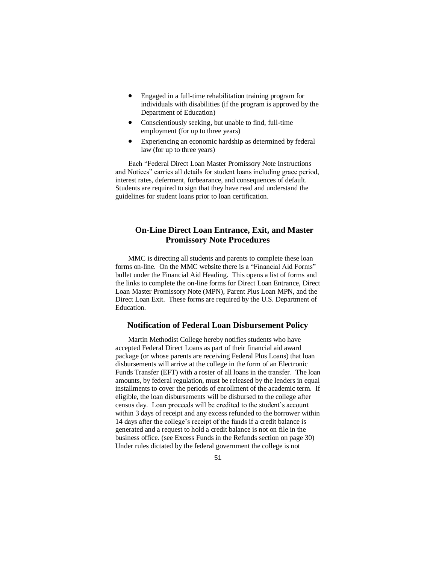- Engaged in a full-time rehabilitation training program for individuals with disabilities (if the program is approved by the Department of Education)
- Conscientiously seeking, but unable to find, full-time employment (for up to three years)
- Experiencing an economic hardship as determined by federal law (for up to three years)

Each "Federal Direct Loan Master Promissory Note Instructions and Notices" carries all details for student loans including grace period, interest rates, deferment, forbearance, and consequences of default. Students are required to sign that they have read and understand the guidelines for student loans prior to loan certification.

## **On-Line Direct Loan Entrance, Exit, and Master Promissory Note Procedures**

MMC is directing all students and parents to complete these loan forms on-line. On the MMC website there is a "Financial Aid Forms" bullet under the Financial Aid Heading. This opens a list of forms and the links to complete the on-line forms for Direct Loan Entrance, Direct Loan Master Promissory Note (MPN), Parent Plus Loan MPN, and the Direct Loan Exit. These forms are required by the U.S. Department of Education.

#### **Notification of Federal Loan Disbursement Policy**

Martin Methodist College hereby notifies students who have accepted Federal Direct Loans as part of their financial aid award package (or whose parents are receiving Federal Plus Loans) that loan disbursements will arrive at the college in the form of an Electronic Funds Transfer (EFT) with a roster of all loans in the transfer. The loan amounts, by federal regulation, must be released by the lenders in equal installments to cover the periods of enrollment of the academic term. If eligible, the loan disbursements will be disbursed to the college after census day. Loan proceeds will be credited to the student's account within 3 days of receipt and any excess refunded to the borrower within 14 days after the college's receipt of the funds if a credit balance is generated and a request to hold a credit balance is not on file in the business office. (see Excess Funds in the Refunds section on page 30) Under rules dictated by the federal government the college is not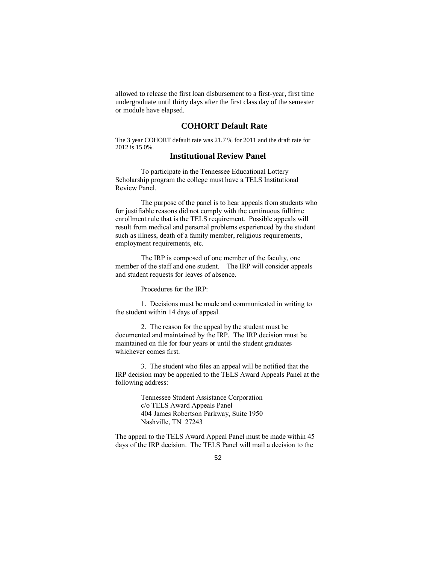allowed to release the first loan disbursement to a first-year, first time undergraduate until thirty days after the first class day of the semester or module have elapsed.

## **COHORT Default Rate**

The 3 year COHORT default rate was 21.7 % for 2011 and the draft rate for 2012 is 15.0%.

## **Institutional Review Panel**

To participate in the Tennessee Educational Lottery Scholarship program the college must have a TELS Institutional Review Panel.

The purpose of the panel is to hear appeals from students who for justifiable reasons did not comply with the continuous fulltime enrollment rule that is the TELS requirement. Possible appeals will result from medical and personal problems experienced by the student such as illness, death of a family member, religious requirements, employment requirements, etc.

The IRP is composed of one member of the faculty, one member of the staff and one student. The IRP will consider appeals and student requests for leaves of absence.

Procedures for the IRP:

1. Decisions must be made and communicated in writing to the student within 14 days of appeal.

2. The reason for the appeal by the student must be documented and maintained by the IRP. The IRP decision must be maintained on file for four years or until the student graduates whichever comes first.

3. The student who files an appeal will be notified that the IRP decision may be appealed to the TELS Award Appeals Panel at the following address:

> Tennessee Student Assistance Corporation c/o TELS Award Appeals Panel 404 James Robertson Parkway, Suite 1950 Nashville, TN 27243

The appeal to the TELS Award Appeal Panel must be made within 45 days of the IRP decision. The TELS Panel will mail a decision to the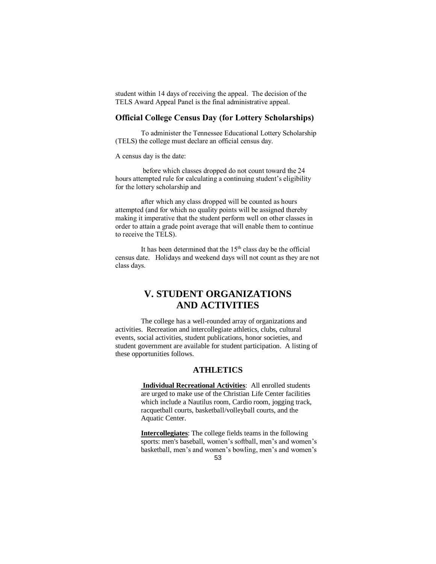student within 14 days of receiving the appeal. The decision of the TELS Award Appeal Panel is the final administrative appeal.

## **Official College Census Day (for Lottery Scholarships)**

To administer the Tennessee Educational Lottery Scholarship (TELS) the college must declare an official census day.

A census day is the date:

before which classes dropped do not count toward the 24 hours attempted rule for calculating a continuing student's eligibility for the lottery scholarship and

after which any class dropped will be counted as hours attempted (and for which no quality points will be assigned thereby making it imperative that the student perform well on other classes in order to attain a grade point average that will enable them to continue to receive the TELS).

It has been determined that the 15<sup>th</sup> class day be the official census date. Holidays and weekend days will not count as they are not class days.

# **V. STUDENT ORGANIZATIONS AND ACTIVITIES**

The college has a well-rounded array of organizations and activities. Recreation and intercollegiate athletics, clubs, cultural events, social activities, student publications, honor societies, and student government are available for student participation. A listing of these opportunities follows.

#### **ATHLETICS**

**Individual Recreational Activities**: All enrolled students are urged to make use of the Christian Life Center facilities which include a Nautilus room, Cardio room, jogging track, racquetball courts, basketball/volleyball courts, and the Aquatic Center.

**Intercollegiates**: The college fields teams in the following sports: men's baseball, women's softball, men's and women's basketball, men's and women's bowling, men's and women's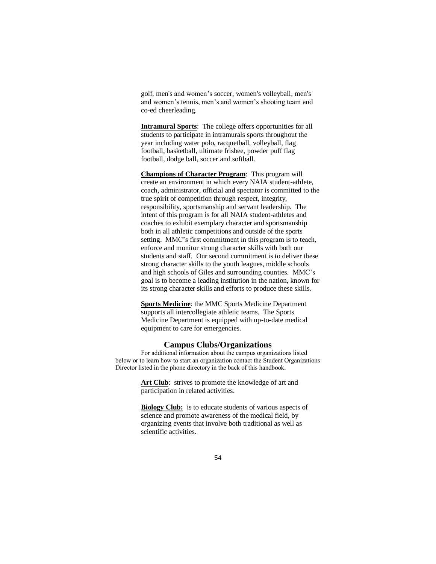golf, men's and women's soccer, women's volleyball, men's and women's tennis, men's and women's shooting team and co-ed cheerleading.

**Intramural Sports**: The college offers opportunities for all students to participate in intramurals sports throughout the year including water polo, racquetball, volleyball, flag football, basketball, ultimate frisbee, powder puff flag football, dodge ball, soccer and softball.

**Champions of Character Program**: This program will create an environment in which every NAIA student-athlete, coach, administrator, official and spectator is committed to the true spirit of competition through respect, integrity, responsibility, sportsmanship and servant leadership. The intent of this program is for all NAIA student-athletes and coaches to exhibit exemplary character and sportsmanship both in all athletic competitions and outside of the sports setting. MMC's first commitment in this program is to teach, enforce and monitor strong character skills with both our students and staff. Our second commitment is to deliver these strong character skills to the youth leagues, middle schools and high schools of Giles and surrounding counties. MMC's goal is to become a leading institution in the nation, known for its strong character skills and efforts to produce these skills.

**Sports Medicine**: the MMC Sports Medicine Department supports all intercollegiate athletic teams. The Sports Medicine Department is equipped with up-to-date medical equipment to care for emergencies.

#### **Campus Clubs/Organizations**

For additional information about the campus organizations listed below or to learn how to start an organization contact the Student Organizations Director listed in the phone directory in the back of this handbook.

> Art Club: strives to promote the knowledge of art and participation in related activities.

**Biology Club:** is to educate students of various aspects of science and promote awareness of the medical field, by organizing events that involve both traditional as well as scientific activities.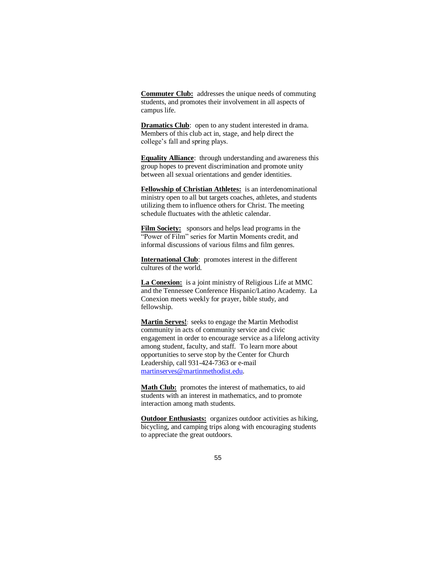**Commuter Club:** addresses the unique needs of commuting students, and promotes their involvement in all aspects of campus life.

**Dramatics Club**: open to any student interested in drama. Members of this club act in, stage, and help direct the college's fall and spring plays.

**Equality Alliance**: through understanding and awareness this group hopes to prevent discrimination and promote unity between all sexual orientations and gender identities.

**Fellowship of Christian Athletes:** is an interdenominational ministry open to all but targets coaches, athletes, and students utilizing them to influence others for Christ. The meeting schedule fluctuates with the athletic calendar.

**Film Society:** sponsors and helps lead programs in the "Power of Film" series for Martin Moments credit, and informal discussions of various films and film genres.

**International Club**: promotes interest in the different cultures of the world.

**La Conexion:** is a joint ministry of Religious Life at MMC and the Tennessee Conference Hispanic/Latino Academy. La Conexion meets weekly for prayer, bible study, and fellowship.

**Martin Serves!**: seeks to engage the Martin Methodist community in acts of community service and civic engagement in order to encourage service as a lifelong activity among student, faculty, and staff. To learn more about opportunities to serve stop by the Center for Church Leadership, call 931-424-7363 or e-mail [martinserves@martinmethodist.edu.](mailto:martinserves@martinmethodist.edu)

Math Club: promotes the interest of mathematics, to aid students with an interest in mathematics, and to promote interaction among math students.

**Outdoor Enthusiasts:** organizes outdoor activities as hiking, bicycling, and camping trips along with encouraging students to appreciate the great outdoors.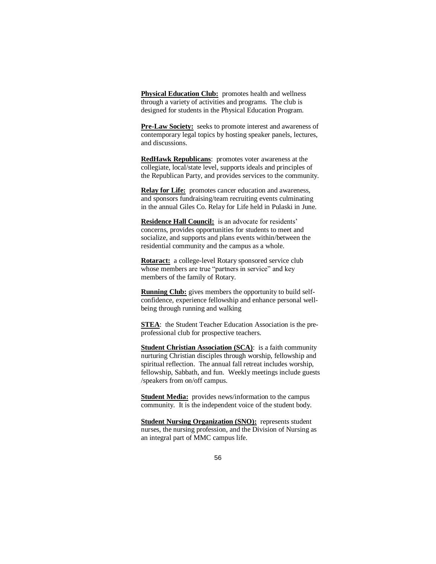**Physical Education Club:** promotes health and wellness through a variety of activities and programs. The club is designed for students in the Physical Education Program.

**Pre-Law Society:** seeks to promote interest and awareness of contemporary legal topics by hosting speaker panels, lectures, and discussions.

**RedHawk Republicans**: promotes voter awareness at the collegiate, local/state level, supports ideals and principles of the Republican Party, and provides services to the community.

**Relay for Life:** promotes cancer education and awareness, and sponsors fundraising/team recruiting events culminating in the annual Giles Co. Relay for Life held in Pulaski in June.

**Residence Hall Council:** is an advocate for residents' concerns, provides opportunities for students to meet and socialize, and supports and plans events within/between the residential community and the campus as a whole.

**Rotaract:** a college-level Rotary sponsored service club whose members are true "partners in service" and key members of the family of Rotary.

**Running Club:** gives members the opportunity to build selfconfidence, experience fellowship and enhance personal wellbeing through running and walking

**STEA**: the Student Teacher Education Association is the preprofessional club for prospective teachers.

**Student Christian Association (SCA)**: is a faith community nurturing Christian disciples through worship, fellowship and spiritual reflection. The annual fall retreat includes worship, fellowship, Sabbath, and fun. Weekly meetings include guests /speakers from on/off campus.

**Student Media:** provides news/information to the campus community. It is the independent voice of the student body.

**Student Nursing Organization (SNO):** represents student nurses, the nursing profession, and the Division of Nursing as an integral part of MMC campus life.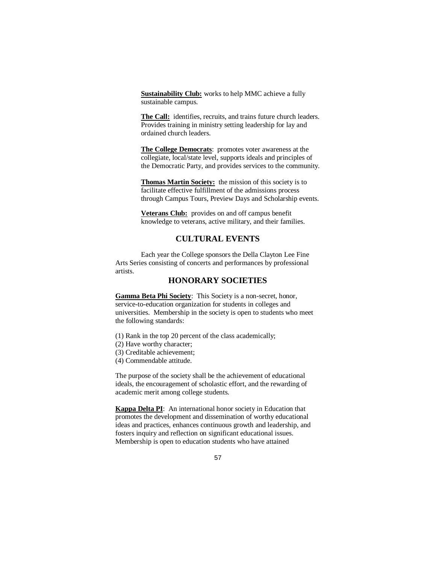**Sustainability Club:** works to help MMC achieve a fully sustainable campus.

**The Call:** identifies, recruits, and trains future church leaders. Provides training in ministry setting leadership for lay and ordained church leaders.

**The College Democrats**: promotes voter awareness at the collegiate, local/state level, supports ideals and principles of the Democratic Party, and provides services to the community.

**Thomas Martin Society:** the mission of this society is to facilitate effective fulfillment of the admissions process through Campus Tours, Preview Days and Scholarship events.

**Veterans Club:** provides on and off campus benefit knowledge to veterans, active military, and their families.

#### **CULTURAL EVENTS**

Each year the College sponsors the Della Clayton Lee Fine Arts Series consisting of concerts and performances by professional artists.

#### **HONORARY SOCIETIES**

**Gamma Beta Phi Society**: This Society is a non-secret, honor, service-to-education organization for students in colleges and universities. Membership in the society is open to students who meet the following standards:

- (1) Rank in the top 20 percent of the class academically;
- (2) Have worthy character;
- (3) Creditable achievement;
- (4) Commendable attitude.

The purpose of the society shall be the achievement of educational ideals, the encouragement of scholastic effort, and the rewarding of academic merit among college students.

**Kappa Delta PI**: An international honor society in Education that promotes the development and dissemination of worthy educational ideas and practices, enhances continuous growth and leadership, and fosters inquiry and reflection on significant educational issues. Membership is open to education students who have attained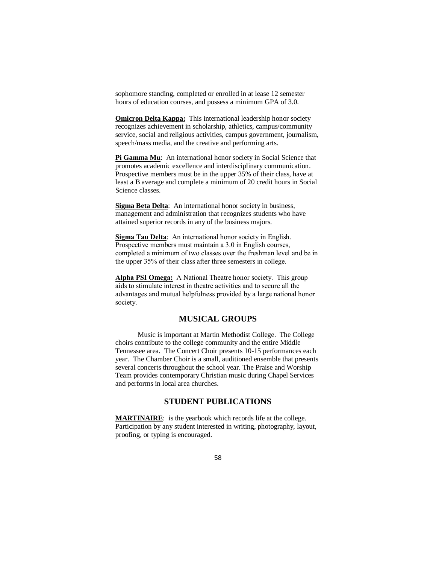sophomore standing, completed or enrolled in at lease 12 semester hours of education courses, and possess a minimum GPA of 3.0.

**Omicron Delta Kappa:** This international leadership honor society recognizes achievement in scholarship, athletics, campus/community service, social and religious activities, campus government, journalism, speech/mass media, and the creative and performing arts.

**Pi Gamma Mu**: An international honor society in Social Science that promotes academic excellence and interdisciplinary communication. Prospective members must be in the upper 35% of their class, have at least a B average and complete a minimum of 20 credit hours in Social Science classes.

**Sigma Beta Delta**: An international honor society in business, management and administration that recognizes students who have attained superior records in any of the business majors.

**Sigma Tau Delta**: An international honor society in English. Prospective members must maintain a 3.0 in English courses, completed a minimum of two classes over the freshman level and be in the upper 35% of their class after three semesters in college.

**Alpha PSI Omega:** A National Theatre honor society. This group aids to stimulate interest in theatre activities and to secure all the advantages and mutual helpfulness provided by a large national honor society.

## **MUSICAL GROUPS**

Music is important at Martin Methodist College. The College choirs contribute to the college community and the entire Middle Tennessee area. The Concert Choir presents 10-15 performances each year. The Chamber Choir is a small, auditioned ensemble that presents several concerts throughout the school year. The Praise and Worship Team provides contemporary Christian music during Chapel Services and performs in local area churches.

#### **STUDENT PUBLICATIONS**

**MARTINAIRE**: is the yearbook which records life at the college. Participation by any student interested in writing, photography, layout, proofing, or typing is encouraged.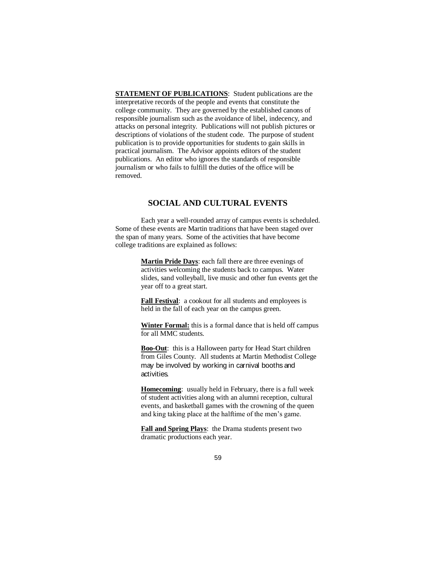**STATEMENT OF PUBLICATIONS:** Student publications are the interpretative records of the people and events that constitute the college community. They are governed by the established canons of responsible journalism such as the avoidance of libel, indecency, and attacks on personal integrity. Publications will not publish pictures or descriptions of violations of the student code. The purpose of student publication is to provide opportunities for students to gain skills in practical journalism. The Advisor appoints editors of the student publications. An editor who ignores the standards of responsible journalism or who fails to fulfill the duties of the office will be removed.

#### **SOCIAL AND CULTURAL EVENTS**

Each year a well-rounded array of campus events is scheduled. Some of these events are Martin traditions that have been staged over the span of many years. Some of the activities that have become college traditions are explained as follows:

> **Martin Pride Days**: each fall there are three evenings of activities welcoming the students back to campus. Water slides, sand volleyball, live music and other fun events get the year off to a great start.

**Fall Festival**: a cookout for all students and employees is held in the fall of each year on the campus green.

**Winter Formal:** this is a formal dance that is held off campus for all MMC students.

**Boo-Out**: this is a Halloween party for Head Start children from Giles County. All students at Martin Methodist College may be involved by working in carnival booths and activities.

**Homecoming**: usually held in February, there is a full week of student activities along with an alumni reception, cultural events, and basketball games with the crowning of the queen and king taking place at the halftime of the men's game.

**Fall and Spring Plays**: the Drama students present two dramatic productions each year.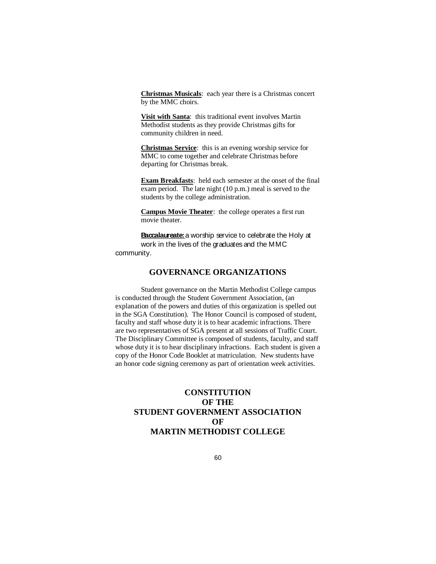**Christmas Musicals**: each year there is a Christmas concert by the MMC choirs.

**Visit with Santa**: this traditional event involves Martin Methodist students as they provide Christmas gifts for community children in need.

**Christmas Service**: this is an evening worship service for MMC to come together and celebrate Christmas before departing for Christmas break.

**Exam Breakfasts**: held each semester at the onset of the final exam period. The late night (10 p.m.) meal is served to the students by the college administration.

**Campus Movie Theater**: the college operates a first run movie theater.

**Baccalaureate:** a worship service to celebrate the Holy at work in the lives of the graduates and the MMC community.

## **GOVERNANCE ORGANIZATIONS**

Student governance on the Martin Methodist College campus is conducted through the Student Government Association, (an explanation of the powers and duties of this organization is spelled out in the SGA Constitution). The Honor Council is composed of student, faculty and staff whose duty it is to hear academic infractions. There are two representatives of SGA present at all sessions of Traffic Court. The Disciplinary Committee is composed of students, faculty, and staff whose duty it is to hear disciplinary infractions. Each student is given a copy of the Honor Code Booklet at matriculation. New students have an honor code signing ceremony as part of orientation week activities.

# **CONSTITUTION OF THE STUDENT GOVERNMENT ASSOCIATION OF MARTIN METHODIST COLLEGE**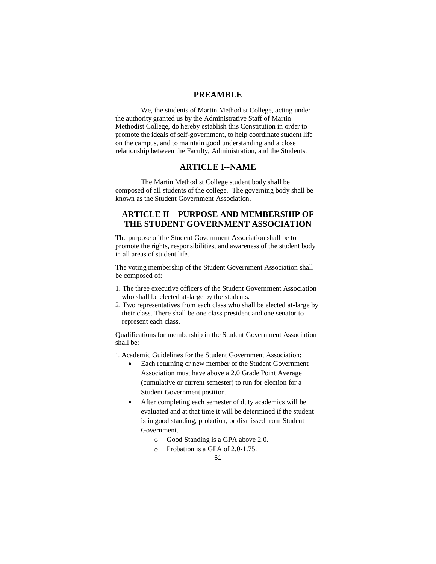## **PREAMBLE**

We, the students of Martin Methodist College, acting under the authority granted us by the Administrative Staff of Martin Methodist College, do hereby establish this Constitution in order to promote the ideals of self-government, to help coordinate student life on the campus, and to maintain good understanding and a close relationship between the Faculty, Administration, and the Students.

#### **ARTICLE I--NAME**

The Martin Methodist College student body shall be composed of all students of the college. The governing body shall be known as the Student Government Association.

## **ARTICLE II—PURPOSE AND MEMBERSHIP OF THE STUDENT GOVERNMENT ASSOCIATION**

The purpose of the Student Government Association shall be to promote the rights, responsibilities, and awareness of the student body in all areas of student life.

The voting membership of the Student Government Association shall be composed of:

- 1. The three executive officers of the Student Government Association who shall be elected at-large by the students.
- 2. Two representatives from each class who shall be elected at-large by their class. There shall be one class president and one senator to represent each class.

Qualifications for membership in the Student Government Association shall be:

1. Academic Guidelines for the Student Government Association:

- Each returning or new member of the Student Government Association must have above a 2.0 Grade Point Average (cumulative or current semester) to run for election for a Student Government position.
- After completing each semester of duty academics will be evaluated and at that time it will be determined if the student is in good standing, probation, or dismissed from Student Government.
	- o Good Standing is a GPA above 2.0.
	- o Probation is a GPA of 2.0-1.75.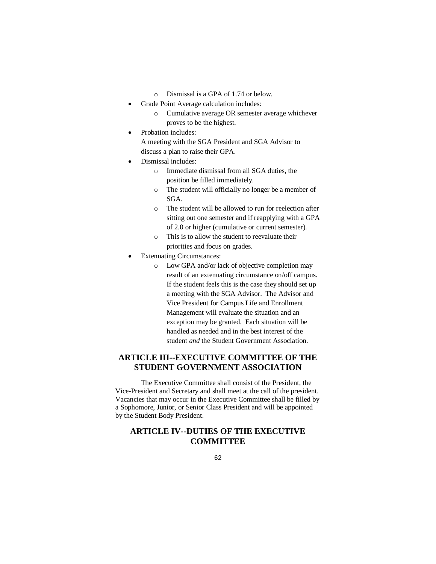- o Dismissal is a GPA of 1.74 or below.
- Grade Point Average calculation includes:
	- o Cumulative average OR semester average whichever proves to be the highest.
- Probation includes:
	- A meeting with the SGA President and SGA Advisor to discuss a plan to raise their GPA.
- Dismissal includes:
	- o Immediate dismissal from all SGA duties, the position be filled immediately.
	- o The student will officially no longer be a member of SGA.
	- o The student will be allowed to run for reelection after sitting out one semester and if reapplying with a GPA of 2.0 or higher (cumulative or current semester).
	- o This is to allow the student to reevaluate their priorities and focus on grades.
- Extenuating Circumstances:
	- o Low GPA and/or lack of objective completion may result of an extenuating circumstance on/off campus. If the student feels this is the case they should set up a meeting with the SGA Advisor. The Advisor and Vice President for Campus Life and Enrollment Management will evaluate the situation and an exception may be granted. Each situation will be handled as needed and in the best interest of the student *and* the Student Government Association.

## **ARTICLE III--EXECUTIVE COMMITTEE OF THE STUDENT GOVERNMENT ASSOCIATION**

The Executive Committee shall consist of the President, the Vice-President and Secretary and shall meet at the call of the president. Vacancies that may occur in the Executive Committee shall be filled by a Sophomore, Junior, or Senior Class President and will be appointed by the Student Body President.

# **ARTICLE IV--DUTIES OF THE EXECUTIVE COMMITTEE**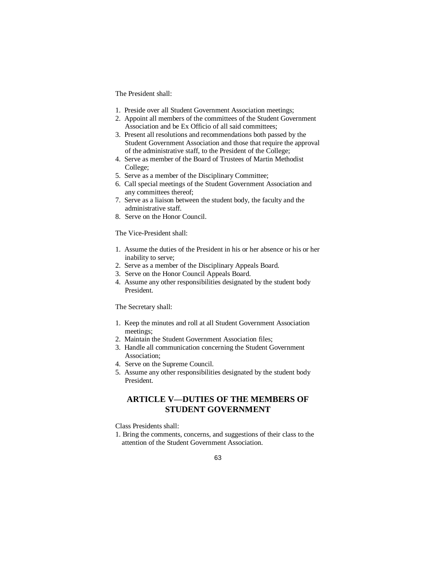The President shall:

- 1. Preside over all Student Government Association meetings;
- 2. Appoint all members of the committees of the Student Government Association and be Ex Officio of all said committees;
- 3. Present all resolutions and recommendations both passed by the Student Government Association and those that require the approval of the administrative staff, to the President of the College;
- 4. Serve as member of the Board of Trustees of Martin Methodist College;
- 5. Serve as a member of the Disciplinary Committee;
- 6. Call special meetings of the Student Government Association and any committees thereof;
- 7. Serve as a liaison between the student body, the faculty and the administrative staff.
- 8. Serve on the Honor Council.

The Vice-President shall:

- 1. Assume the duties of the President in his or her absence or his or her inability to serve;
- 2. Serve as a member of the Disciplinary Appeals Board.
- 3. Serve on the Honor Council Appeals Board.
- 4. Assume any other responsibilities designated by the student body President.

The Secretary shall:

- 1. Keep the minutes and roll at all Student Government Association meetings;
- 2. Maintain the Student Government Association files;
- 3. Handle all communication concerning the Student Government Association;
- 4. Serve on the Supreme Council.
- 5. Assume any other responsibilities designated by the student body President.

# **ARTICLE V—DUTIES OF THE MEMBERS OF STUDENT GOVERNMENT**

Class Presidents shall:

1. Bring the comments, concerns, and suggestions of their class to the attention of the Student Government Association.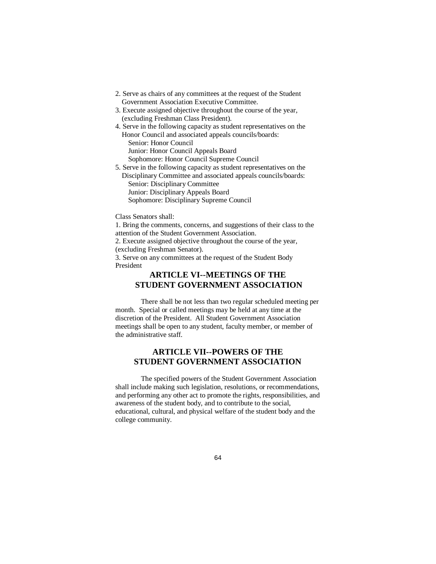- 2. Serve as chairs of any committees at the request of the Student Government Association Executive Committee.
- 3. Execute assigned objective throughout the course of the year, (excluding Freshman Class President).
- 4. Serve in the following capacity as student representatives on the Honor Council and associated appeals councils/boards: Senior: Honor Council Junior: Honor Council Appeals Board Sophomore: Honor Council Supreme Council
- 5. Serve in the following capacity as student representatives on the Disciplinary Committee and associated appeals councils/boards: Senior: Disciplinary Committee Junior: Disciplinary Appeals Board Sophomore: Disciplinary Supreme Council

#### Class Senators shall:

1. Bring the comments, concerns, and suggestions of their class to the attention of the Student Government Association.

2. Execute assigned objective throughout the course of the year, (excluding Freshman Senator).

3. Serve on any committees at the request of the Student Body President

# **ARTICLE VI--MEETINGS OF THE STUDENT GOVERNMENT ASSOCIATION**

There shall be not less than two regular scheduled meeting per month. Special or called meetings may be held at any time at the discretion of the President. All Student Government Association meetings shall be open to any student, faculty member, or member of the administrative staff.

## **ARTICLE VII--POWERS OF THE STUDENT GOVERNMENT ASSOCIATION**

The specified powers of the Student Government Association shall include making such legislation, resolutions, or recommendations, and performing any other act to promote the rights, responsibilities, and awareness of the student body, and to contribute to the social, educational, cultural, and physical welfare of the student body and the college community.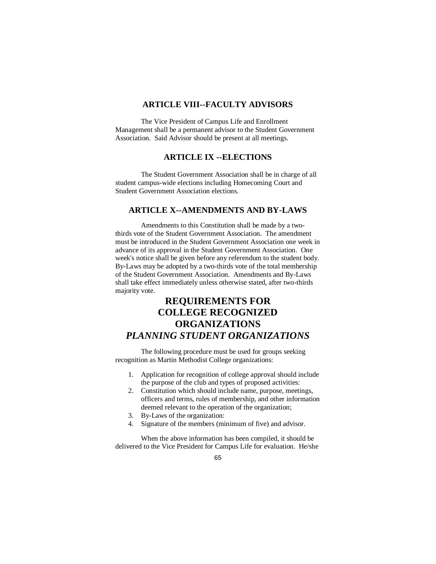#### **ARTICLE VIII--FACULTY ADVISORS**

The Vice President of Campus Life and Enrollment Management shall be a permanent advisor to the Student Government Association. Said Advisor should be present at all meetings.

# **ARTICLE IX --ELECTIONS**

The Student Government Association shall be in charge of all student campus-wide elections including Homecoming Court and Student Government Association elections.

#### **ARTICLE X--AMENDMENTS AND BY-LAWS**

Amendments to this Constitution shall be made by a twothirds vote of the Student Government Association. The amendment must be introduced in the Student Government Association one week in advance of its approval in the Student Government Association. One week's notice shall be given before any referendum to the student body. By-Laws may be adopted by a two-thirds vote of the total membership of the Student Government Association. Amendments and By-Laws shall take effect immediately unless otherwise stated, after two-thirds majority vote.

# **REQUIREMENTS FOR COLLEGE RECOGNIZED ORGANIZATIONS** *PLANNING STUDENT ORGANIZATIONS*

The following procedure must be used for groups seeking recognition as Martin Methodist College organizations:

- 1. Application for recognition of college approval should include the purpose of the club and types of proposed activities:
- 2. Constitution which should include name, purpose, meetings, officers and terms, rules of membership, and other information deemed relevant to the operation of the organization;
- 3. By-Laws of the organization:
- 4. Signature of the members (minimum of five) and advisor.

When the above information has been compiled, it should be delivered to the Vice President for Campus Life for evaluation. He/she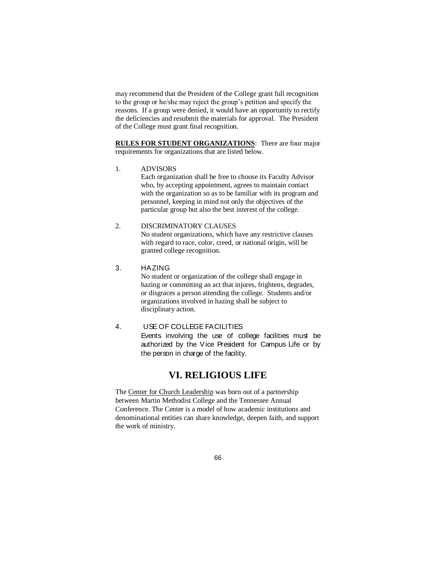may recommend that the President of the College grant full recognition to the group or he/she may reject the group's petition and specify the reasons. If a group were denied, it would have an opportunity to rectify the deficiencies and resubmit the materials for approval. The President of the College must grant final recognition.

**RULES FOR STUDENT ORGANIZATIONS**: There are four major requirements for organizations that are listed below.

1. ADVISORS

Each organization shall be free to choose its Faculty Advisor who, by accepting appointment, agrees to maintain contact with the organization so as to be familiar with its program and personnel, keeping in mind not only the objectives of the particular group but also the best interest of the college.

# 2. DISCRIMINATORY CLAUSES

No student organizations, which have any restrictive clauses with regard to race, color, creed, or national origin, will be granted college recognition.

3. HAZING

No student or organization of the college shall engage in hazing or committing an act that injures, frightens, degrades, or disgraces a person attending the college. Students and/or organizations involved in hazing shall be subject to disciplinary action.

#### 4. USE OF COLLEGE FACILITIES

Events involving the use of college facilities must be authorized by the Vice President for Campus Life or by the person in charge of the facility.

# **VI. RELIGIOUS LIFE**

The Center for Church Leadership was born out of a partnership between Martin Methodist College and the Tennessee Annual Conference. The Center is a model of how academic institutions and denominational entities can share knowledge, deepen faith, and support the work of ministry.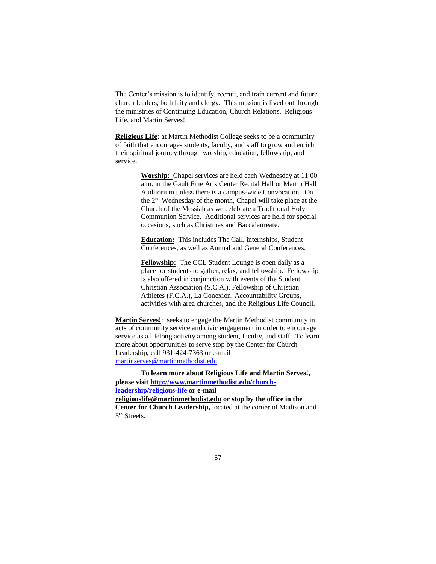The Center's mission is to identify, recruit, and train current and future church leaders, both laity and clergy. This mission is lived out through the ministries of Continuing Education, Church Relations, Religious Life, and Martin Serves!

**Religious Life**: at Martin Methodist College seeks to be a community of faith that encourages students, faculty, and staff to grow and enrich their spiritual journey through worship, education, fellowship, and service.

> **Worship**: Chapel services are held each Wednesday at 11:00 a.m. in the Gault Fine Arts Center Recital Hall or Martin Hall Auditorium unless there is a campus-wide Convocation. On the 2<sup>nd</sup> Wednesday of the month, Chapel will take place at the Church of the Messiah as we celebrate a Traditional Holy Communion Service. Additional services are held for special occasions, such as Christmas and Baccalaureate.

**Education:** This includes The Call, internships, Student Conferences, as well as Annual and General Conferences.

**Fellowship:** The CCL Student Lounge is open daily as a place for students to gather, relax, and fellowship. Fellowship is also offered in conjunction with events of the Student Christian Association (S.C.A.), Fellowship of Christian Athletes (F.C.A.), La Conexion, Accountability Groups, activities with area churches, and the Religious Life Council.

**Martin Serves!**: seeks to engage the Martin Methodist community in acts of community service and civic engagement in order to encourage service as a lifelong activity among student, faculty, and staff. To learn more about opportunities to serve stop by the Center for Church Leadership, call 931-424-7363 or e-mail [martinserves@martinmethodist.edu.](mailto:martinserves@martinmethodist.edu)

**To learn more about Religious Life and Martin Serves!, please visit [http://www.martinmethodist.edu/church](http://www.martinmethodist.edu/church-leadership/religious-life)[leadership/religious-life](http://www.martinmethodist.edu/church-leadership/religious-life) or e-mail religiouslife@martinmethodist.edu or stop by the office in the Center for Church Leadership,** located at the corner of Madison and 5<sup>th</sup> Streets.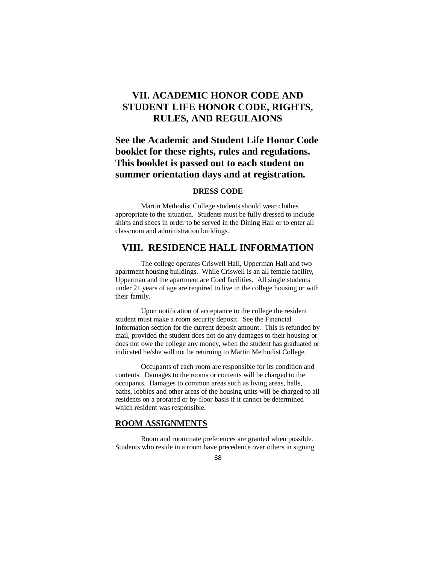# **VII. ACADEMIC HONOR CODE AND STUDENT LIFE HONOR CODE, RIGHTS, RULES, AND REGULAIONS**

# **See the Academic and Student Life Honor Code booklet for these rights, rules and regulations. This booklet is passed out to each student on summer orientation days and at registration.**

#### **DRESS CODE**

Martin Methodist College students should wear clothes appropriate to the situation. Students must be fully dressed to include shirts and shoes in order to be served in the Dining Hall or to enter all classroom and administration buildings.

# **VIII. RESIDENCE HALL INFORMATION**

The college operates Criswell Hall, Upperman Hall and two apartment housing buildings. While Criswell is an all female facility, Upperman and the apartment are Coed facilities. All single students under 21 years of age are required to live in the college housing or with their family.

Upon notification of acceptance to the college the resident student must make a room security deposit. See the Financial Information section for the current deposit amount. This is refunded by mail, provided the student does not do any damages to their housing or does not owe the college any money, when the student has graduated or indicated he/she will not be returning to Martin Methodist College.

Occupants of each room are responsible for its condition and contents. Damages to the rooms or contents will be charged to the occupants. Damages to common areas such as living areas, halls, baths, lobbies and other areas of the housing units will be charged to all residents on a prorated or by-floor basis if it cannot be determined which resident was responsible.

#### **ROOM ASSIGNMENTS**

Room and roommate preferences are granted when possible. Students who reside in a room have precedence over others in signing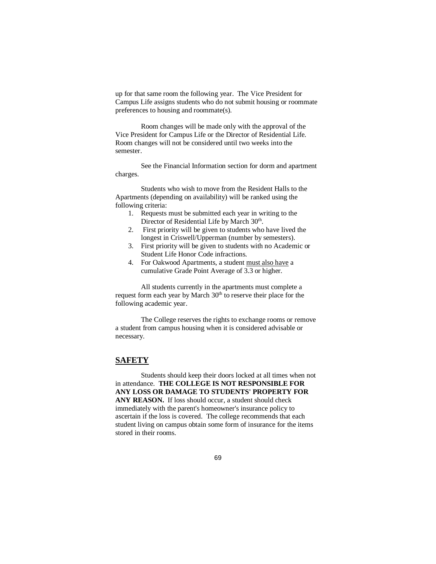up for that same room the following year. The Vice President for Campus Life assigns students who do not submit housing or roommate preferences to housing and roommate(s).

Room changes will be made only with the approval of the Vice President for Campus Life or the Director of Residential Life. Room changes will not be considered until two weeks into the semester.

See the Financial Information section for dorm and apartment charges.

Students who wish to move from the Resident Halls to the Apartments (depending on availability) will be ranked using the following criteria:

- 1. Requests must be submitted each year in writing to the Director of Residential Life by March 30<sup>th</sup>.
- 2. First priority will be given to students who have lived the longest in Criswell/Upperman (number by semesters).
- 3. First priority will be given to students with no Academic or Student Life Honor Code infractions.
- 4. For Oakwood Apartments, a student must also have a cumulative Grade Point Average of 3.3 or higher.

All students currently in the apartments must complete a request form each year by March 30<sup>th</sup> to reserve their place for the following academic year.

The College reserves the rights to exchange rooms or remove a student from campus housing when it is considered advisable or necessary.

## **SAFETY**

Students should keep their doors locked at all times when not in attendance. **THE COLLEGE IS NOT RESPONSIBLE FOR ANY LOSS OR DAMAGE TO STUDENTS' PROPERTY FOR**  ANY REASON. If loss should occur, a student should check immediately with the parent's homeowner's insurance policy to ascertain if the loss is covered. The college recommends that each student living on campus obtain some form of insurance for the items stored in their rooms.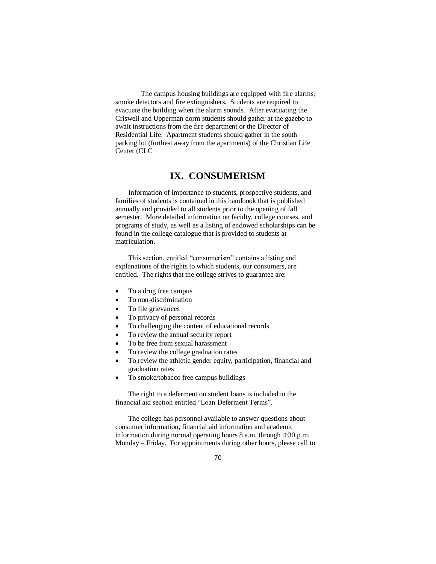The campus housing buildings are equipped with fire alarms, smoke detectors and fire extinguishers. Students are required to evacuate the building when the alarm sounds. After evacuating the Criswell and Upperman dorm students should gather at the gazebo to await instructions from the fire department or the Director of Residential Life. Apartment students should gather in the south parking lot (furthest away from the apartments) of the Christian Life Center (CLC

# **IX. CONSUMERISM**

Information of importance to students, prospective students, and families of students is contained in this handbook that is published annually and provided to all students prior to the opening of fall semester. More detailed information on faculty, college courses, and programs of study, as well as a listing of endowed scholarships can be found in the college catalogue that is provided to students at matriculation.

This section, entitled "consumerism" contains a listing and explanations of the rights to which students, our consumers, are entitled. The rights that the college strives to guarantee are:

- To a drug free campus
- To non-discrimination
- To file grievances
- To privacy of personal records
- To challenging the content of educational records
- To review the annual security report
- To be free from sexual harassment
- To review the college graduation rates
- To review the athletic gender equity, participation, financial and graduation rates
- To smoke/tobacco free campus buildings

The right to a deferment on student loans is included in the financial aid section entitled "Loan Deferment Terms".

The college has personnel available to answer questions about consumer information, financial aid information and academic information during normal operating hours 8 a.m. through 4:30 p.m. Monday – Friday. For appointments during other hours, please call to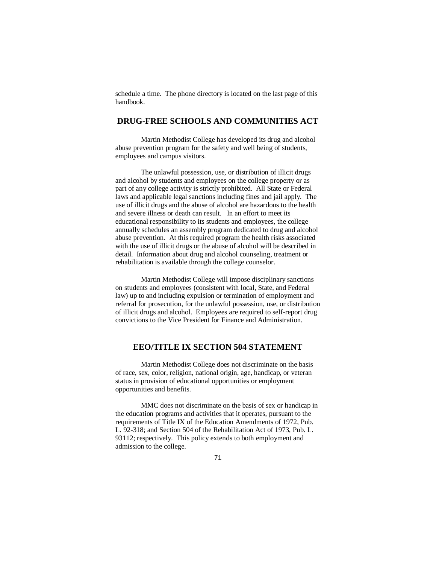schedule a time. The phone directory is located on the last page of this handbook.

## **DRUG-FREE SCHOOLS AND COMMUNITIES ACT**

Martin Methodist College has developed its drug and alcohol abuse prevention program for the safety and well being of students, employees and campus visitors.

The unlawful possession, use, or distribution of illicit drugs and alcohol by students and employees on the college property or as part of any college activity is strictly prohibited. All State or Federal laws and applicable legal sanctions including fines and jail apply. The use of illicit drugs and the abuse of alcohol are hazardous to the health and severe illness or death can result. In an effort to meet its educational responsibility to its students and employees, the college annually schedules an assembly program dedicated to drug and alcohol abuse prevention. At this required program the health risks associated with the use of illicit drugs or the abuse of alcohol will be described in detail. Information about drug and alcohol counseling, treatment or rehabilitation is available through the college counselor.

Martin Methodist College will impose disciplinary sanctions on students and employees (consistent with local, State, and Federal law) up to and including expulsion or termination of employment and referral for prosecution, for the unlawful possession, use, or distribution of illicit drugs and alcohol. Employees are required to self-report drug convictions to the Vice President for Finance and Administration.

## **EEO/TITLE IX SECTION 504 STATEMENT**

Martin Methodist College does not discriminate on the basis of race, sex, color, religion, national origin, age, handicap, or veteran status in provision of educational opportunities or employment opportunities and benefits.

MMC does not discriminate on the basis of sex or handicap in the education programs and activities that it operates, pursuant to the requirements of Title IX of the Education Amendments of 1972, Pub. L. 92-318; and Section 504 of the Rehabilitation Act of 1973, Pub. L. 93112; respectively. This policy extends to both employment and admission to the college.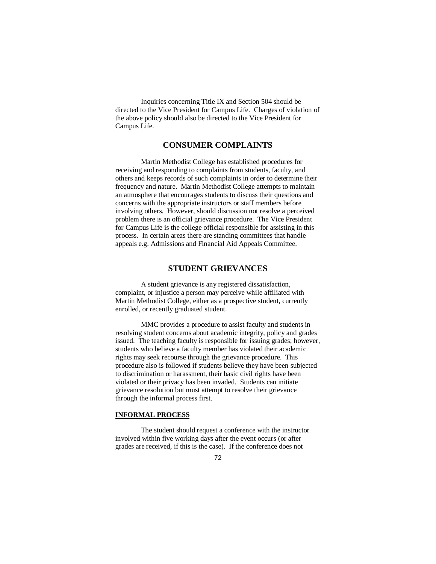Inquiries concerning Title IX and Section 504 should be directed to the Vice President for Campus Life. Charges of violation of the above policy should also be directed to the Vice President for Campus Life.

## **CONSUMER COMPLAINTS**

Martin Methodist College has established procedures for receiving and responding to complaints from students, faculty, and others and keeps records of such complaints in order to determine their frequency and nature. Martin Methodist College attempts to maintain an atmosphere that encourages students to discuss their questions and concerns with the appropriate instructors or staff members before involving others. However, should discussion not resolve a perceived problem there is an official grievance procedure. The Vice President for Campus Life is the college official responsible for assisting in this process. In certain areas there are standing committees that handle appeals e.g. Admissions and Financial Aid Appeals Committee.

#### **STUDENT GRIEVANCES**

A student grievance is any registered dissatisfaction, complaint, or injustice a person may perceive while affiliated with Martin Methodist College, either as a prospective student, currently enrolled, or recently graduated student.

MMC provides a procedure to assist faculty and students in resolving student concerns about academic integrity, policy and grades issued. The teaching faculty is responsible for issuing grades; however, students who believe a faculty member has violated their academic rights may seek recourse through the grievance procedure. This procedure also is followed if students believe they have been subjected to discrimination or harassment, their basic civil rights have been violated or their privacy has been invaded. Students can initiate grievance resolution but must attempt to resolve their grievance through the informal process first.

#### **INFORMAL PROCESS**

The student should request a conference with the instructor involved within five working days after the event occurs (or after grades are received, if this is the case). If the conference does not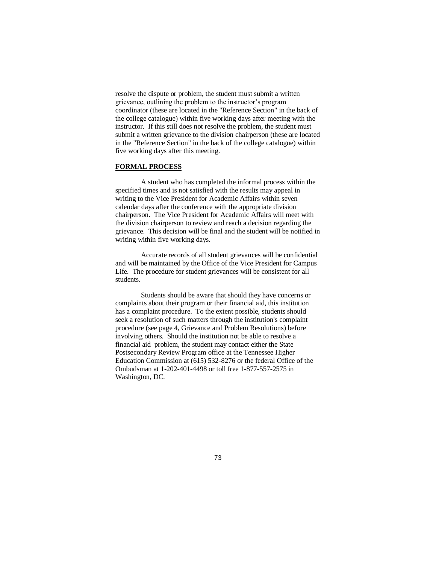resolve the dispute or problem, the student must submit a written grievance, outlining the problem to the instructor's program coordinator (these are located in the "Reference Section" in the back of the college catalogue) within five working days after meeting with the instructor. If this still does not resolve the problem, the student must submit a written grievance to the division chairperson (these are located in the "Reference Section" in the back of the college catalogue) within five working days after this meeting.

#### **FORMAL PROCESS**

A student who has completed the informal process within the specified times and is not satisfied with the results may appeal in writing to the Vice President for Academic Affairs within seven calendar days after the conference with the appropriate division chairperson. The Vice President for Academic Affairs will meet with the division chairperson to review and reach a decision regarding the grievance. This decision will be final and the student will be notified in writing within five working days.

Accurate records of all student grievances will be confidential and will be maintained by the Office of the Vice President for Campus Life. The procedure for student grievances will be consistent for all students.

Students should be aware that should they have concerns or complaints about their program or their financial aid, this institution has a complaint procedure. To the extent possible, students should seek a resolution of such matters through the institution's complaint procedure (see page 4, Grievance and Problem Resolutions) before involving others. Should the institution not be able to resolve a financial aid problem, the student may contact either the State Postsecondary Review Program office at the Tennessee Higher Education Commission at (615) 532-8276 or the federal Office of the Ombudsman at 1-202-401-4498 or toll free 1-877-557-2575 in Washington, DC.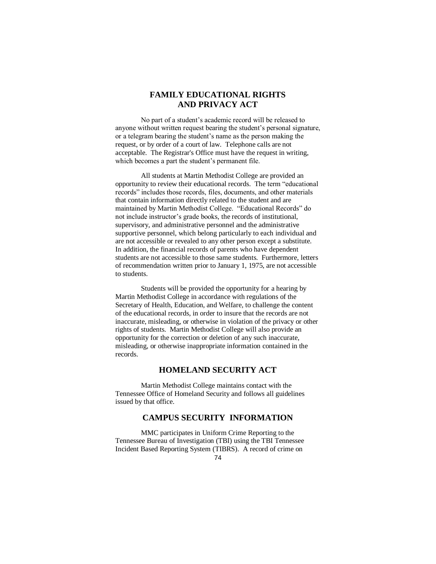# **FAMILY EDUCATIONAL RIGHTS AND PRIVACY ACT**

No part of a student's academic record will be released to anyone without written request bearing the student's personal signature, or a telegram bearing the student's name as the person making the request, or by order of a court of law. Telephone calls are not acceptable. The Registrar's Office must have the request in writing, which becomes a part the student's permanent file.

All students at Martin Methodist College are provided an opportunity to review their educational records. The term "educational records" includes those records, files, documents, and other materials that contain information directly related to the student and are maintained by Martin Methodist College. "Educational Records" do not include instructor's grade books, the records of institutional, supervisory, and administrative personnel and the administrative supportive personnel, which belong particularly to each individual and are not accessible or revealed to any other person except a substitute. In addition, the financial records of parents who have dependent students are not accessible to those same students. Furthermore, letters of recommendation written prior to January 1, 1975, are not accessible to students.

Students will be provided the opportunity for a hearing by Martin Methodist College in accordance with regulations of the Secretary of Health, Education, and Welfare, to challenge the content of the educational records, in order to insure that the records are not inaccurate, misleading, or otherwise in violation of the privacy or other rights of students. Martin Methodist College will also provide an opportunity for the correction or deletion of any such inaccurate, misleading, or otherwise inappropriate information contained in the records.

# **HOMELAND SECURITY ACT**

Martin Methodist College maintains contact with the Tennessee Office of Homeland Security and follows all guidelines issued by that office.

## **CAMPUS SECURITY INFORMATION**

MMC participates in Uniform Crime Reporting to the Tennessee Bureau of Investigation (TBI) using the TBI Tennessee Incident Based Reporting System (TIBRS). A record of crime on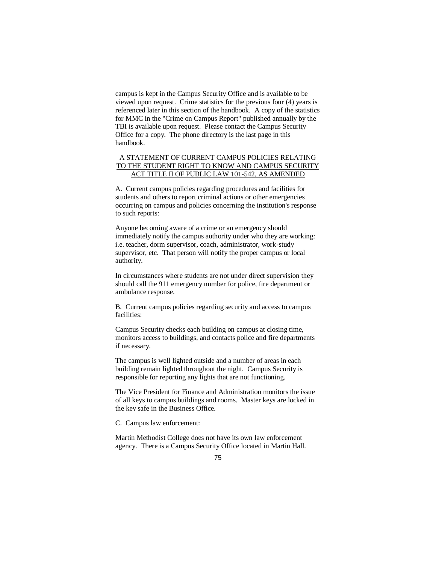campus is kept in the Campus Security Office and is available to be viewed upon request. Crime statistics for the previous four (4) years is referenced later in this section of the handbook. A copy of the statistics for MMC in the "Crime on Campus Report" published annually by the TBI is available upon request. Please contact the Campus Security Office for a copy. The phone directory is the last page in this handbook.

## A STATEMENT OF CURRENT CAMPUS POLICIES RELATING TO THE STUDENT RIGHT TO KNOW AND CAMPUS SECURITY ACT TITLE II OF PUBLIC LAW 101-542, AS AMENDED

A. Current campus policies regarding procedures and facilities for students and others to report criminal actions or other emergencies occurring on campus and policies concerning the institution's response to such reports:

Anyone becoming aware of a crime or an emergency should immediately notify the campus authority under who they are working: i.e. teacher, dorm supervisor, coach, administrator, work-study supervisor, etc. That person will notify the proper campus or local authority.

In circumstances where students are not under direct supervision they should call the 911 emergency number for police, fire department or ambulance response.

B. Current campus policies regarding security and access to campus facilities:

Campus Security checks each building on campus at closing time, monitors access to buildings, and contacts police and fire departments if necessary.

The campus is well lighted outside and a number of areas in each building remain lighted throughout the night. Campus Security is responsible for reporting any lights that are not functioning.

The Vice President for Finance and Administration monitors the issue of all keys to campus buildings and rooms. Master keys are locked in the key safe in the Business Office.

C. Campus law enforcement:

Martin Methodist College does not have its own law enforcement agency. There is a Campus Security Office located in Martin Hall.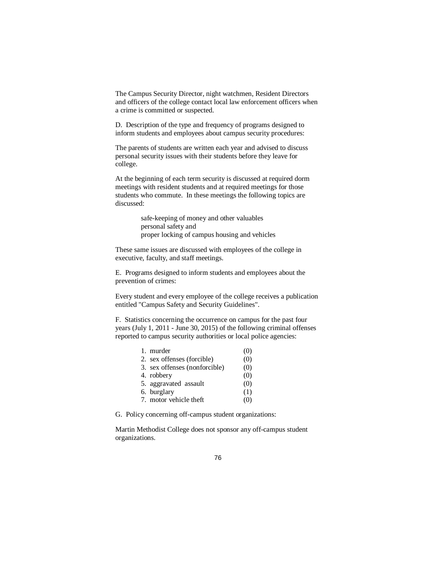The Campus Security Director, night watchmen, Resident Directors and officers of the college contact local law enforcement officers when a crime is committed or suspected.

D. Description of the type and frequency of programs designed to inform students and employees about campus security procedures:

The parents of students are written each year and advised to discuss personal security issues with their students before they leave for college.

At the beginning of each term security is discussed at required dorm meetings with resident students and at required meetings for those students who commute. In these meetings the following topics are discussed:

> safe-keeping of money and other valuables personal safety and proper locking of campus housing and vehicles

These same issues are discussed with employees of the college in executive, faculty, and staff meetings.

E. Programs designed to inform students and employees about the prevention of crimes:

Every student and every employee of the college receives a publication entitled "Campus Safety and Security Guidelines".

F. Statistics concerning the occurrence on campus for the past four years (July 1, 2011 - June 30, 2015) of the following criminal offenses reported to campus security authorities or local police agencies:

| 1. murder                     | (0) |
|-------------------------------|-----|
| 2. sex offenses (forcible)    | (0) |
| 3. sex offenses (nonforcible) | (0) |
| 4. robbery                    | (0) |
| 5. aggravated assault         | (0) |
| 6. burglary                   | (1) |
| 7. motor vehicle theft        | (0) |

G. Policy concerning off-campus student organizations:

Martin Methodist College does not sponsor any off-campus student organizations.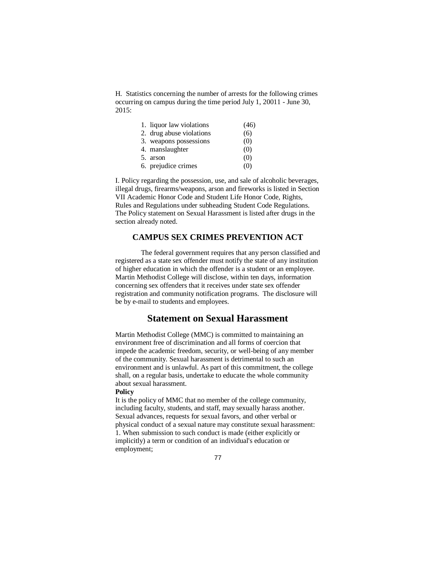H. Statistics concerning the number of arrests for the following crimes occurring on campus during the time period July 1, 20011 - June 30, 2015:

| 1. liquor law violations | (46) |
|--------------------------|------|
| 2. drug abuse violations | (6)  |
| 3. weapons possessions   | (0)  |
| 4. manslaughter          | (0)  |
| 5. arson                 | (0)  |
| 6. prejudice crimes      | (0)  |

I. Policy regarding the possession, use, and sale of alcoholic beverages, illegal drugs, firearms/weapons, arson and fireworks is listed in Section VII Academic Honor Code and Student Life Honor Code, Rights, Rules and Regulations under subheading Student Code Regulations. The Policy statement on Sexual Harassment is listed after drugs in the section already noted.

## **CAMPUS SEX CRIMES PREVENTION ACT**

The federal government requires that any person classified and registered as a state sex offender must notify the state of any institution of higher education in which the offender is a student or an employee. Martin Methodist College will disclose, within ten days, information concerning sex offenders that it receives under state sex offender registration and community notification programs. The disclosure will be by e-mail to students and employees.

# **Statement on Sexual Harassment**

Martin Methodist College (MMC) is committed to maintaining an environment free of discrimination and all forms of coercion that impede the academic freedom, security, or well-being of any member of the community. Sexual harassment is detrimental to such an environment and is unlawful. As part of this commitment, the college shall, on a regular basis, undertake to educate the whole community about sexual harassment.

## **Policy**

It is the policy of MMC that no member of the college community, including faculty, students, and staff, may sexually harass another. Sexual advances, requests for sexual favors, and other verbal or physical conduct of a sexual nature may constitute sexual harassment: 1. When submission to such conduct is made (either explicitly or implicitly) a term or condition of an individual's education or employment;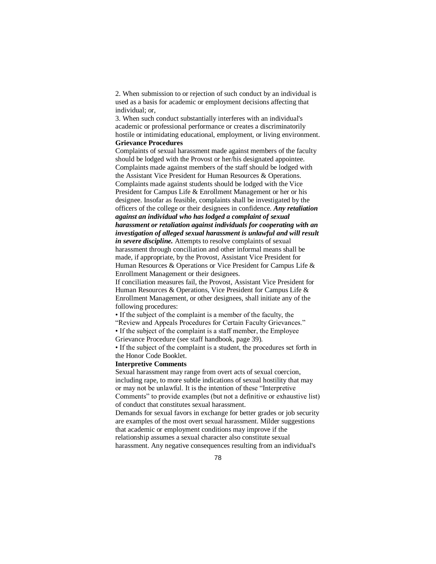2. When submission to or rejection of such conduct by an individual is used as a basis for academic or employment decisions affecting that individual; or,

3. When such conduct substantially interferes with an individual's academic or professional performance or creates a discriminatorily hostile or intimidating educational, employment, or living environment. **Grievance Procedures** 

Complaints of sexual harassment made against members of the faculty should be lodged with the Provost or her/his designated appointee. Complaints made against members of the staff should be lodged with the Assistant Vice President for Human Resources & Operations. Complaints made against students should be lodged with the Vice President for Campus Life & Enrollment Management or her or his designee. Insofar as feasible, complaints shall be investigated by the officers of the college or their designees in confidence. *Any retaliation against an individual who has lodged a complaint of sexual harassment or retaliation against individuals for cooperating with an investigation of alleged sexual harassment is unlawful and will result in severe discipline.* Attempts to resolve complaints of sexual harassment through conciliation and other informal means shall be made, if appropriate, by the Provost, Assistant Vice President for Human Resources & Operations or Vice President for Campus Life &

Enrollment Management or their designees.

If conciliation measures fail, the Provost, Assistant Vice President for Human Resources & Operations, Vice President for Campus Life & Enrollment Management, or other designees, shall initiate any of the following procedures:

• If the subject of the complaint is a member of the faculty, the

"Review and Appeals Procedures for Certain Faculty Grievances."

• If the subject of the complaint is a staff member, the Employee

Grievance Procedure (see staff handbook, page 39).

• If the subject of the complaint is a student, the procedures set forth in the Honor Code Booklet.

## **Interpretive Comments**

Sexual harassment may range from overt acts of sexual coercion, including rape, to more subtle indications of sexual hostility that may or may not be unlawful. It is the intention of these "Interpretive Comments" to provide examples (but not a definitive or exhaustive list) of conduct that constitutes sexual harassment.

Demands for sexual favors in exchange for better grades or job security are examples of the most overt sexual harassment. Milder suggestions that academic or employment conditions may improve if the relationship assumes a sexual character also constitute sexual harassment. Any negative consequences resulting from an individual's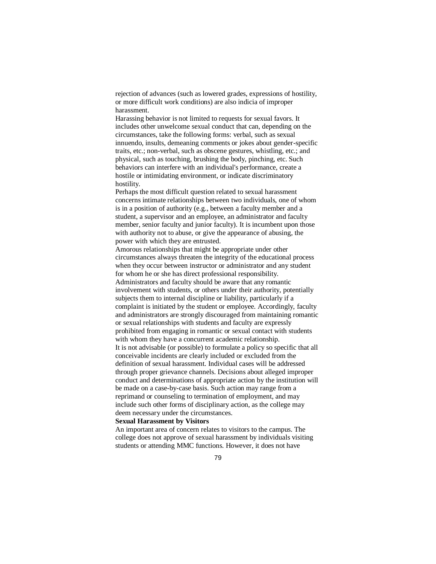rejection of advances (such as lowered grades, expressions of hostility, or more difficult work conditions) are also indicia of improper harassment.

Harassing behavior is not limited to requests for sexual favors. It includes other unwelcome sexual conduct that can, depending on the circumstances, take the following forms: verbal, such as sexual innuendo, insults, demeaning comments or jokes about gender-specific traits, etc.; non-verbal, such as obscene gestures, whistling, etc.; and physical, such as touching, brushing the body, pinching, etc. Such behaviors can interfere with an individual's performance, create a hostile or intimidating environment, or indicate discriminatory hostility.

Perhaps the most difficult question related to sexual harassment concerns intimate relationships between two individuals, one of whom is in a position of authority (e.g., between a faculty member and a student, a supervisor and an employee, an administrator and faculty member, senior faculty and junior faculty). It is incumbent upon those with authority not to abuse, or give the appearance of abusing, the power with which they are entrusted.

Amorous relationships that might be appropriate under other circumstances always threaten the integrity of the educational process when they occur between instructor or administrator and any student for whom he or she has direct professional responsibility. Administrators and faculty should be aware that any romantic involvement with students, or others under their authority, potentially subjects them to internal discipline or liability, particularly if a complaint is initiated by the student or employee. Accordingly, faculty and administrators are strongly discouraged from maintaining romantic or sexual relationships with students and faculty are expressly prohibited from engaging in romantic or sexual contact with students with whom they have a concurrent academic relationship. It is not advisable (or possible) to formulate a policy so specific that all conceivable incidents are clearly included or excluded from the definition of sexual harassment. Individual cases will be addressed through proper grievance channels. Decisions about alleged improper conduct and determinations of appropriate action by the institution will be made on a case-by-case basis. Such action may range from a reprimand or counseling to termination of employment, and may include such other forms of disciplinary action, as the college may deem necessary under the circumstances.

#### **Sexual Harassment by Visitors**

An important area of concern relates to visitors to the campus. The college does not approve of sexual harassment by individuals visiting students or attending MMC functions. However, it does not have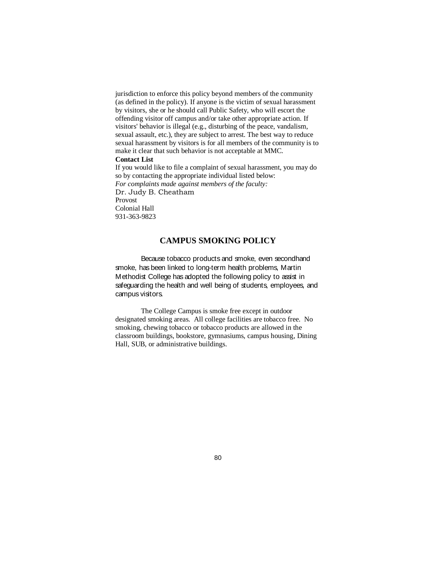jurisdiction to enforce this policy beyond members of the community (as defined in the policy). If anyone is the victim of sexual harassment by visitors, she or he should call Public Safety, who will escort the offending visitor off campus and/or take other appropriate action. If visitors' behavior is illegal (e.g., disturbing of the peace, vandalism, sexual assault, etc.), they are subject to arrest. The best way to reduce sexual harassment by visitors is for all members of the community is to make it clear that such behavior is not acceptable at MMC.

#### **Contact List**

If you would like to file a complaint of sexual harassment, you may do so by contacting the appropriate individual listed below: *For complaints made against members of the faculty:*  Dr. Judy B. Cheatham Provost Colonial Hall 931-363-9823

# **CAMPUS SMOKING POLICY**

Because tobacco products and smoke, even secondhand smoke, has been linked to long-term health problems, Martin Methodist College has adopted the following policy to assist in safeguarding the health and well being of students, employees, and campus visitors.

The College Campus is smoke free except in outdoor designated smoking areas. All college facilities are tobacco free. No smoking, chewing tobacco or tobacco products are allowed in the classroom buildings, bookstore, gymnasiums, campus housing, Dining Hall, SUB, or administrative buildings.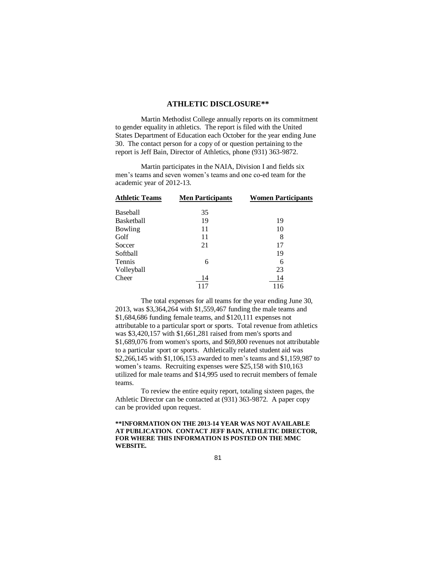## **ATHLETIC DISCLOSURE\*\***

Martin Methodist College annually reports on its commitment to gender equality in athletics. The report is filed with the United States Department of Education each October for the year ending June 30. The contact person for a copy of or question pertaining to the report is Jeff Bain, Director of Athletics, phone (931) 363-9872.

Martin participates in the NAIA, Division I and fields six men's teams and seven women's teams and one co-ed team for the academic year of 2012-13.

| <b>Athletic Teams</b> | <b>Men Participants</b> | <b>Women Participants</b> |
|-----------------------|-------------------------|---------------------------|
| Baseball              | 35                      |                           |
| Basketball            | 19                      | 19                        |
| Bowling               | 11                      | 10                        |
| Golf                  | 11                      | 8                         |
| Soccer                | 21                      | 17                        |
| Softball              |                         | 19                        |
| Tennis                | 6                       | 6                         |
| Volleyball            |                         | 23                        |
| Cheer                 | 14                      | 14                        |
|                       | 117                     | 116                       |

The total expenses for all teams for the year ending June 30, 2013, was \$3,364,264 with \$1,559,467 funding the male teams and \$1,684,686 funding female teams, and \$120,111 expenses not attributable to a particular sport or sports. Total revenue from athletics was \$3,420,157 with \$1,661,281 raised from men's sports and \$1,689,076 from women's sports, and \$69,800 revenues not attributable to a particular sport or sports. Athletically related student aid was \$2,266,145 with \$1,106,153 awarded to men's teams and \$1,159,987 to women's teams. Recruiting expenses were \$25,158 with \$10,163 utilized for male teams and \$14,995 used to recruit members of female teams.

To review the entire equity report, totaling sixteen pages, the Athletic Director can be contacted at (931) 363-9872. A paper copy can be provided upon request.

### **\*\*INFORMATION ON THE 2013-14 YEAR WAS NOT AVAILABLE AT PUBLICATION. CONTACT JEFF BAIN, ATHLETIC DIRECTOR, FOR WHERE THIS INFORMATION IS POSTED ON THE MMC WEBSITE.**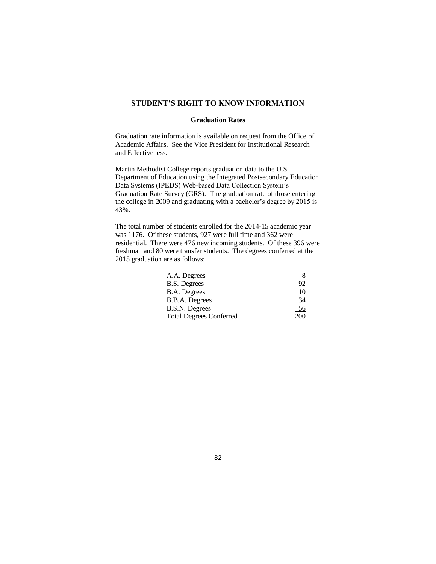## **STUDENT'S RIGHT TO KNOW INFORMATION**

#### **Graduation Rates**

Graduation rate information is available on request from the Office of Academic Affairs. See the Vice President for Institutional Research and Effectiveness.

Martin Methodist College reports graduation data to the U.S. Department of Education using the Integrated Postsecondary Education Data Systems (IPEDS) Web-based Data Collection System's Graduation Rate Survey (GRS). The graduation rate of those entering the college in 2009 and graduating with a bachelor's degree by 2015 is 43%.

The total number of students enrolled for the 2014-15 academic year was 1176. Of these students, 927 were full time and 362 were residential. There were 476 new incoming students. Of these 396 were freshman and 80 were transfer students. The degrees conferred at the 2015 graduation are as follows:

| A.A. Degrees                   | х   |
|--------------------------------|-----|
| <b>B.S. Degrees</b>            | 92  |
| <b>B.A.</b> Degrees            | 10  |
| B.B.A. Degrees                 | 34  |
| B.S.N. Degrees                 | 56  |
| <b>Total Degrees Conferred</b> | 200 |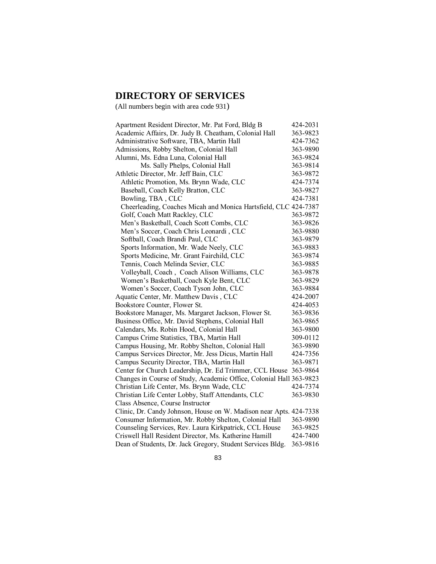# **DIRECTORY OF SERVICES**

(All numbers begin with area code 931)

| Apartment Resident Director, Mr. Pat Ford, Bldg B                   | 424-2031 |
|---------------------------------------------------------------------|----------|
| Academic Affairs, Dr. Judy B. Cheatham, Colonial Hall               | 363-9823 |
| Administrative Software, TBA, Martin Hall                           | 424-7362 |
| Admissions, Robby Shelton, Colonial Hall                            | 363-9890 |
| Alumni, Ms. Edna Luna, Colonial Hall                                | 363-9824 |
| Ms. Sally Phelps, Colonial Hall                                     | 363-9814 |
| Athletic Director, Mr. Jeff Bain, CLC                               | 363-9872 |
| Athletic Promotion, Ms. Brynn Wade, CLC                             | 424-7374 |
| Baseball, Coach Kelly Bratton, CLC                                  | 363-9827 |
| Bowling, TBA, CLC                                                   | 424-7381 |
| Cheerleading, Coaches Micah and Monica Hartsfield, CLC 424-7387     |          |
| Golf, Coach Matt Rackley, CLC                                       | 363-9872 |
| Men's Basketball, Coach Scott Combs, CLC                            | 363-9826 |
| Men's Soccer, Coach Chris Leonardi, CLC                             | 363-9880 |
| Softball, Coach Brandi Paul, CLC                                    | 363-9879 |
| Sports Information, Mr. Wade Neely, CLC                             | 363-9883 |
| Sports Medicine, Mr. Grant Fairchild, CLC                           | 363-9874 |
| Tennis, Coach Melinda Sevier, CLC                                   | 363-9885 |
| Volleyball, Coach, Coach Alison Williams, CLC                       | 363-9878 |
| Women's Basketball, Coach Kyle Bent, CLC                            | 363-9829 |
| Women's Soccer, Coach Tyson John, CLC                               | 363-9884 |
| Aquatic Center, Mr. Matthew Davis, CLC                              | 424-2007 |
| Bookstore Counter, Flower St.                                       | 424-4053 |
| Bookstore Manager, Ms. Margaret Jackson, Flower St.                 | 363-9836 |
| Business Office, Mr. David Stephens, Colonial Hall                  | 363-9865 |
| Calendars, Ms. Robin Hood, Colonial Hall                            | 363-9800 |
| Campus Crime Statistics, TBA, Martin Hall                           | 309-0112 |
| Campus Housing, Mr. Robby Shelton, Colonial Hall                    | 363-9890 |
| Campus Services Director, Mr. Jess Dicus, Martin Hall               | 424-7356 |
| Campus Security Director, TBA, Martin Hall                          | 363-9871 |
| Center for Church Leadership, Dr. Ed Trimmer, CCL House             | 363-9864 |
| Changes in Course of Study, Academic Office, Colonial Hall 363-9823 |          |
| Christian Life Center, Ms. Brynn Wade, CLC                          | 424-7374 |
| Christian Life Center Lobby, Staff Attendants, CLC                  | 363-9830 |
| Class Absence, Course Instructor                                    |          |
| Clinic, Dr. Candy Johnson, House on W. Madison near Apts. 424-7338  |          |
| Consumer Information, Mr. Robby Shelton, Colonial Hall              | 363-9890 |
| Counseling Services, Rev. Laura Kirkpatrick, CCL House              | 363-9825 |
| Criswell Hall Resident Director, Ms. Katherine Hamill               | 424-7400 |
| Dean of Students, Dr. Jack Gregory, Student Services Bldg.          | 363-9816 |